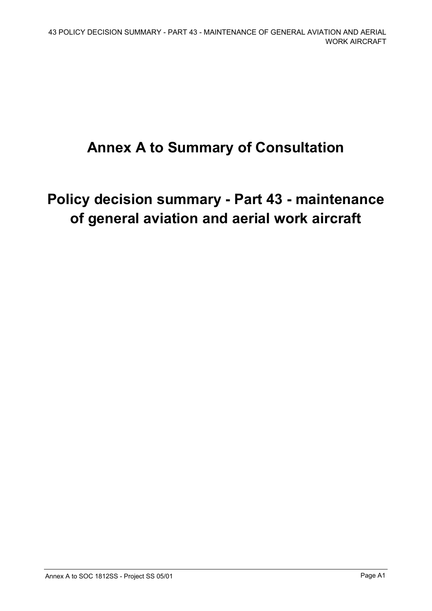# **Annex A to Summary of Consultation**

# **Policy decision summary - Part 43 - maintenance of general aviation and aerial work aircraft**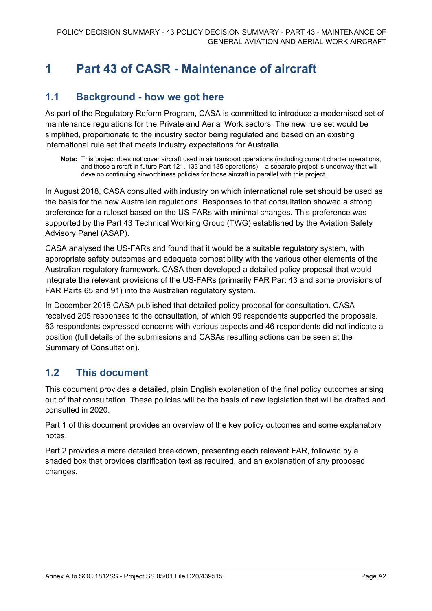# **1 Part 43 of CASR - Maintenance of aircraft**

## **1.1 Background - how we got here**

As part of the Regulatory Reform Program, CASA is committed to introduce a modernised set of maintenance regulations for the Private and Aerial Work sectors. The new rule set would be simplified, proportionate to the industry sector being regulated and based on an existing international rule set that meets industry expectations for Australia.

**Note:** This project does not cover aircraft used in air transport operations (including current charter operations, and those aircraft in future Part 121, 133 and 135 operations) – a separate project is underway that will develop continuing airworthiness policies for those aircraft in parallel with this project.

In August 2018, CASA consulted with industry on which international rule set should be used as the basis for the new Australian regulations. Responses to that consultation showed a strong preference for a ruleset based on the US-FARs with minimal changes. This preference was supported by the Part 43 Technical Working Group (TWG) established by the Aviation Safety Advisory Panel (ASAP).

CASA analysed the US-FARs and found that it would be a suitable regulatory system, with appropriate safety outcomes and adequate compatibility with the various other elements of the Australian regulatory framework. CASA then developed a detailed policy proposal that would integrate the relevant provisions of the US-FARs (primarily FAR Part 43 and some provisions of FAR Parts 65 and 91) into the Australian regulatory system.

In December 2018 CASA published that detailed policy proposal for consultation. CASA received 205 responses to the consultation, of which 99 respondents supported the proposals. 63 respondents expressed concerns with various aspects and 46 respondents did not indicate a position (full details of the submissions and CASAs resulting actions can be seen at the Summary of Consultation).

# **1.2 This document**

This document provides a detailed, plain English explanation of the final policy outcomes arising out of that consultation. These policies will be the basis of new legislation that will be drafted and consulted in 2020.

Part 1 of this document provides an overview of the key policy outcomes and some explanatory notes.

Part 2 provides a more detailed breakdown, presenting each relevant FAR, followed by a shaded box that provides clarification text as required, and an explanation of any proposed changes.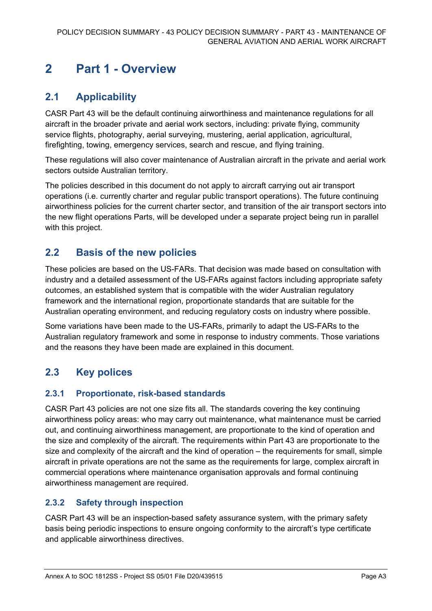# **2 Part 1 - Overview**

# **2.1 Applicability**

CASR Part 43 will be the default continuing airworthiness and maintenance regulations for all aircraft in the broader private and aerial work sectors, including: private flying, community service flights, photography, aerial surveying, mustering, aerial application, agricultural, firefighting, towing, emergency services, search and rescue, and flying training.

These regulations will also cover maintenance of Australian aircraft in the private and aerial work sectors outside Australian territory.

The policies described in this document do not apply to aircraft carrying out air transport operations (i.e. currently charter and regular public transport operations). The future continuing airworthiness policies for the current charter sector, and transition of the air transport sectors into the new flight operations Parts, will be developed under a separate project being run in parallel with this project.

## **2.2 Basis of the new policies**

These policies are based on the US-FARs. That decision was made based on consultation with industry and a detailed assessment of the US-FARs against factors including appropriate safety outcomes, an established system that is compatible with the wider Australian regulatory framework and the international region, proportionate standards that are suitable for the Australian operating environment, and reducing regulatory costs on industry where possible.

Some variations have been made to the US-FARs, primarily to adapt the US-FARs to the Australian regulatory framework and some in response to industry comments. Those variations and the reasons they have been made are explained in this document.

# **2.3 Key polices**

## **2.3.1 Proportionate, risk-based standards**

CASR Part 43 policies are not one size fits all. The standards covering the key continuing airworthiness policy areas: who may carry out maintenance, what maintenance must be carried out, and continuing airworthiness management, are proportionate to the kind of operation and the size and complexity of the aircraft. The requirements within Part 43 are proportionate to the size and complexity of the aircraft and the kind of operation – the requirements for small, simple aircraft in private operations are not the same as the requirements for large, complex aircraft in commercial operations where maintenance organisation approvals and formal continuing airworthiness management are required.

## **2.3.2 Safety through inspection**

CASR Part 43 will be an inspection-based safety assurance system, with the primary safety basis being periodic inspections to ensure ongoing conformity to the aircraft's type certificate and applicable airworthiness directives.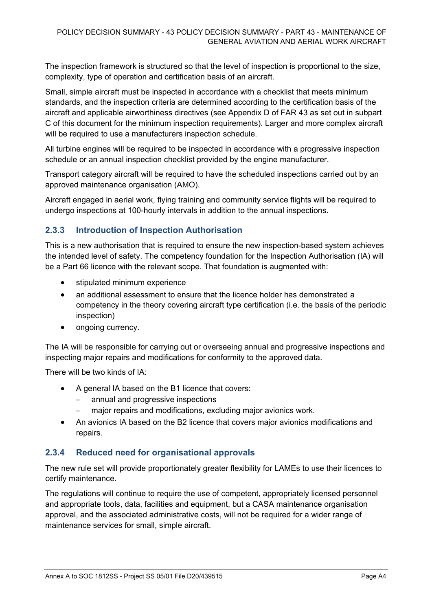The inspection framework is structured so that the level of inspection is proportional to the size, complexity, type of operation and certification basis of an aircraft.

Small, simple aircraft must be inspected in accordance with a checklist that meets minimum standards, and the inspection criteria are determined according to the certification basis of the aircraft and applicable airworthiness directives (see Appendix D of FAR 43 as set out in subpart C of this document for the minimum inspection requirements). Larger and more complex aircraft will be required to use a manufacturers inspection schedule.

All turbine engines will be required to be inspected in accordance with a progressive inspection schedule or an annual inspection checklist provided by the engine manufacturer.

Transport category aircraft will be required to have the scheduled inspections carried out by an approved maintenance organisation (AMO).

Aircraft engaged in aerial work, flying training and community service flights will be required to undergo inspections at 100-hourly intervals in addition to the annual inspections.

## **2.3.3 Introduction of Inspection Authorisation**

This is a new authorisation that is required to ensure the new inspection-based system achieves the intended level of safety. The competency foundation for the Inspection Authorisation (IA) will be a Part 66 licence with the relevant scope. That foundation is augmented with:

- stipulated minimum experience
- an additional assessment to ensure that the licence holder has demonstrated a competency in the theory covering aircraft type certification (i.e. the basis of the periodic inspection)
- ongoing currency.

The IA will be responsible for carrying out or overseeing annual and progressive inspections and inspecting major repairs and modifications for conformity to the approved data.

There will be two kinds of IA:

- A general IA based on the B1 licence that covers:
	- annual and progressive inspections
	- major repairs and modifications, excluding major avionics work.
- An avionics IA based on the B2 licence that covers major avionics modifications and repairs.

## **2.3.4 Reduced need for organisational approvals**

The new rule set will provide proportionately greater flexibility for LAMEs to use their licences to certify maintenance.

The regulations will continue to require the use of competent, appropriately licensed personnel and appropriate tools, data, facilities and equipment, but a CASA maintenance organisation approval, and the associated administrative costs, will not be required for a wider range of maintenance services for small, simple aircraft.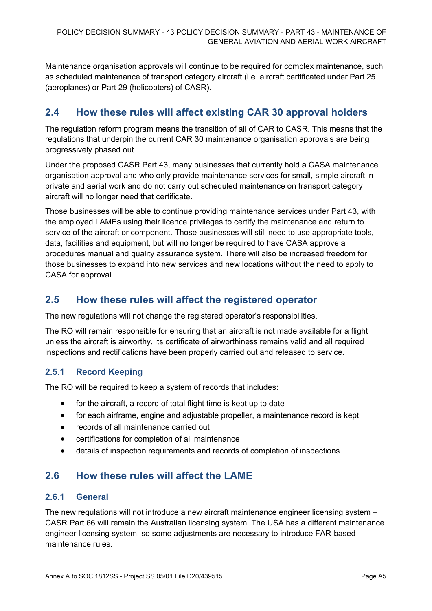Maintenance organisation approvals will continue to be required for complex maintenance, such as scheduled maintenance of transport category aircraft (i.e. aircraft certificated under Part 25 (aeroplanes) or Part 29 (helicopters) of CASR).

# **2.4 How these rules will affect existing CAR 30 approval holders**

The regulation reform program means the transition of all of CAR to CASR. This means that the regulations that underpin the current CAR 30 maintenance organisation approvals are being progressively phased out.

Under the proposed CASR Part 43, many businesses that currently hold a CASA maintenance organisation approval and who only provide maintenance services for small, simple aircraft in private and aerial work and do not carry out scheduled maintenance on transport category aircraft will no longer need that certificate.

Those businesses will be able to continue providing maintenance services under Part 43, with the employed LAMEs using their licence privileges to certify the maintenance and return to service of the aircraft or component. Those businesses will still need to use appropriate tools, data, facilities and equipment, but will no longer be required to have CASA approve a procedures manual and quality assurance system. There will also be increased freedom for those businesses to expand into new services and new locations without the need to apply to CASA for approval.

# **2.5 How these rules will affect the registered operator**

The new regulations will not change the registered operator's responsibilities.

The RO will remain responsible for ensuring that an aircraft is not made available for a flight unless the aircraft is airworthy, its certificate of airworthiness remains valid and all required inspections and rectifications have been properly carried out and released to service.

## **2.5.1 Record Keeping**

The RO will be required to keep a system of records that includes:

- for the aircraft, a record of total flight time is kept up to date
- for each airframe, engine and adjustable propeller, a maintenance record is kept
- records of all maintenance carried out
- certifications for completion of all maintenance
- details of inspection requirements and records of completion of inspections

# **2.6 How these rules will affect the LAME**

## **2.6.1 General**

The new regulations will not introduce a new aircraft maintenance engineer licensing system – CASR Part 66 will remain the Australian licensing system. The USA has a different maintenance engineer licensing system, so some adjustments are necessary to introduce FAR-based maintenance rules.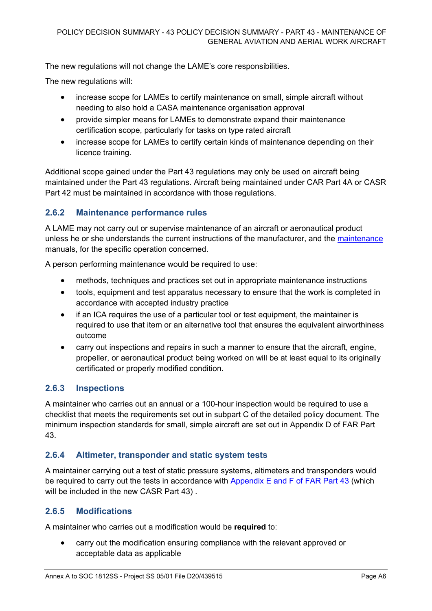The new regulations will not change the LAME's core responsibilities.

The new regulations will:

- increase scope for LAMEs to certify maintenance on small, simple aircraft without needing to also hold a CASA maintenance organisation approval
- provide simpler means for LAMEs to demonstrate expand their maintenance certification scope, particularly for tasks on type rated aircraft
- increase scope for LAMEs to certify certain kinds of maintenance depending on their licence training.

Additional scope gained under the Part 43 regulations may only be used on aircraft being maintained under the Part 43 regulations. Aircraft being maintained under CAR Part 4A or CASR Part 42 must be maintained in accordance with those regulations.

## **2.6.2 Maintenance performance rules**

A LAME may not carry out or supervise maintenance of an aircraft or aeronautical product unless he or she understands the current instructions of the manufacturer, and the [maintenance](https://www.law.cornell.edu/definitions/index.php?width=840&height=800&iframe=true&def_id=fc2f07b03933ee61135b3c5de147ca70&term_occur=3&term_src=Title:14:Chapter:I:Subchapter:D:Part:65:Subpart:D:65.81) manuals, for the specific operation concerned.

A person performing maintenance would be required to use:

- methods, techniques and practices set out in appropriate maintenance instructions
- tools, equipment and test apparatus necessary to ensure that the work is completed in accordance with accepted industry practice
- if an ICA requires the use of a particular tool or test equipment, the maintainer is required to use that item or an alternative tool that ensures the equivalent airworthiness outcome
- carry out inspections and repairs in such a manner to ensure that the aircraft, engine, propeller, or aeronautical product being worked on will be at least equal to its originally certificated or properly modified condition.

## **2.6.3 Inspections**

A maintainer who carries out an annual or a 100-hour inspection would be required to use a checklist that meets the requirements set out in subpart C of the detailed policy document. The minimum inspection standards for small, simple aircraft are set out in Appendix D of FAR Part 43.

## **2.6.4 Altimeter, transponder and static system tests**

A maintainer carrying out a test of static pressure systems, altimeters and transponders would be required to carry out the tests in accordance with Appendix E and F of FAR Part 43 (which will be included in the new CASR Part 43).

## **2.6.5 Modifications**

A maintainer who carries out a modification would be **required** to:

• carry out the modification ensuring compliance with the relevant approved or acceptable data as applicable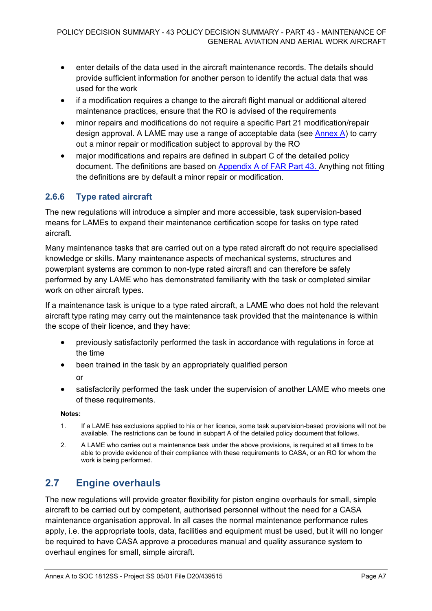- enter details of the data used in the aircraft maintenance records. The details should provide sufficient information for another person to identify the actual data that was used for the work
- if a modification requires a change to the aircraft flight manual or additional altered maintenance practices, ensure that the RO is advised of the requirements
- minor repairs and modifications do not require a specific Part 21 modification/repair design approval. A LAME may use a range of acceptable data (see [Annex A\)](#page-71-0) to carry out a minor repair or modification subject to approval by the RO
- major modifications and repairs are defined in subpart C of the detailed policy document. The definitions are based on Appendix A of FAR Part 43. Anything not fitting the definitions are by default a minor repair or modification.

## **2.6.6 Type rated aircraft**

The new regulations will introduce a simpler and more accessible, task supervision-based means for LAMEs to expand their maintenance certification scope for tasks on type rated aircraft.

Many maintenance tasks that are carried out on a type rated aircraft do not require specialised knowledge or skills. Many maintenance aspects of mechanical systems, structures and powerplant systems are common to non-type rated aircraft and can therefore be safely performed by any LAME who has demonstrated familiarity with the task or completed similar work on other aircraft types.

If a maintenance task is unique to a type rated aircraft, a LAME who does not hold the relevant aircraft type rating may carry out the maintenance task provided that the maintenance is within the scope of their licence, and they have:

- previously satisfactorily performed the task in accordance with regulations in force at the time
- been trained in the task by an appropriately qualified person

or

satisfactorily performed the task under the supervision of another LAME who meets one of these requirements.

### **Notes:**

- 1. If a LAME has exclusions applied to his or her licence, some task supervision-based provisions will not be available. The restrictions can be found in subpart A of the detailed policy document that follows.
- 2. A LAME who carries out a maintenance task under the above provisions, is required at all times to be able to provide evidence of their compliance with these requirements to CASA, or an RO for whom the work is being performed.

# **2.7 Engine overhauls**

The new regulations will provide greater flexibility for piston engine overhauls for small, simple aircraft to be carried out by competent, authorised personnel without the need for a CASA maintenance organisation approval. In all cases the normal maintenance performance rules apply, i.e. the appropriate tools, data, facilities and equipment must be used, but it will no longer be required to have CASA approve a procedures manual and quality assurance system to overhaul engines for small, simple aircraft.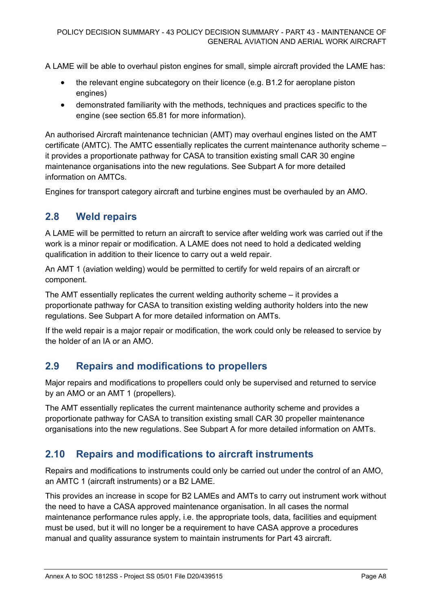A LAME will be able to overhaul piston engines for small, simple aircraft provided the LAME has:

- the relevant engine subcategory on their licence (e.g. B1.2 for aeroplane piston engines)
- demonstrated familiarity with the methods, techniques and practices specific to the engine (see section 65.81 for more information).

An authorised Aircraft maintenance technician (AMT) may overhaul engines listed on the AMT certificate (AMTC). The AMTC essentially replicates the current maintenance authority scheme – it provides a proportionate pathway for CASA to transition existing small CAR 30 engine maintenance organisations into the new regulations. See Subpart A for more detailed information on AMTCs.

Engines for transport category aircraft and turbine engines must be overhauled by an AMO.

## **2.8 Weld repairs**

A LAME will be permitted to return an aircraft to service after welding work was carried out if the work is a minor repair or modification. A LAME does not need to hold a dedicated welding qualification in addition to their licence to carry out a weld repair.

An AMT 1 (aviation welding) would be permitted to certify for weld repairs of an aircraft or component.

The AMT essentially replicates the current welding authority scheme – it provides a proportionate pathway for CASA to transition existing welding authority holders into the new regulations. See Subpart A for more detailed information on AMTs.

If the weld repair is a major repair or modification, the work could only be released to service by the holder of an IA or an AMO.

# **2.9 Repairs and modifications to propellers**

Major repairs and modifications to propellers could only be supervised and returned to service by an AMO or an AMT 1 (propellers).

The AMT essentially replicates the current maintenance authority scheme and provides a proportionate pathway for CASA to transition existing small CAR 30 propeller maintenance organisations into the new regulations. See Subpart A for more detailed information on AMTs.

## **2.10 Repairs and modifications to aircraft instruments**

Repairs and modifications to instruments could only be carried out under the control of an AMO, an AMTC 1 (aircraft instruments) or a B2 LAME.

This provides an increase in scope for B2 LAMEs and AMTs to carry out instrument work without the need to have a CASA approved maintenance organisation. In all cases the normal maintenance performance rules apply, i.e. the appropriate tools, data, facilities and equipment must be used, but it will no longer be a requirement to have CASA approve a procedures manual and quality assurance system to maintain instruments for Part 43 aircraft.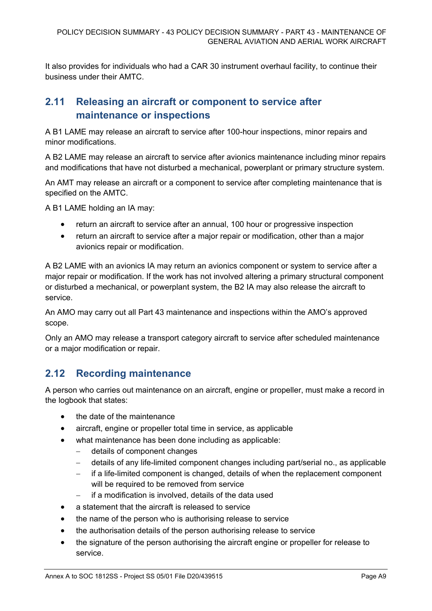It also provides for individuals who had a CAR 30 instrument overhaul facility, to continue their business under their AMTC.

# **2.11 Releasing an aircraft or component to service after maintenance or inspections**

A B1 LAME may release an aircraft to service after 100-hour inspections, minor repairs and minor modifications.

A B2 LAME may release an aircraft to service after avionics maintenance including minor repairs and modifications that have not disturbed a mechanical, powerplant or primary structure system.

An AMT may release an aircraft or a component to service after completing maintenance that is specified on the AMTC.

A B1 LAME holding an IA may:

- return an aircraft to service after an annual, 100 hour or progressive inspection
- return an aircraft to service after a major repair or modification, other than a major avionics repair or modification.

A B2 LAME with an avionics IA may return an avionics component or system to service after a major repair or modification. If the work has not involved altering a primary structural component or disturbed a mechanical, or powerplant system, the B2 IA may also release the aircraft to service.

An AMO may carry out all Part 43 maintenance and inspections within the AMO's approved scope.

Only an AMO may release a transport category aircraft to service after scheduled maintenance or a major modification or repair.

# **2.12 Recording maintenance**

A person who carries out maintenance on an aircraft, engine or propeller, must make a record in the logbook that states:

- the date of the maintenance
- aircraft, engine or propeller total time in service, as applicable
- what maintenance has been done including as applicable:
	- − details of component changes
	- − details of any life-limited component changes including part/serial no., as applicable
	- − if a life-limited component is changed, details of when the replacement component will be required to be removed from service
	- − if a modification is involved, details of the data used
- a statement that the aircraft is released to service
- the name of the person who is authorising release to service
- the authorisation details of the person authorising release to service
- the signature of the person authorising the aircraft engine or propeller for release to service.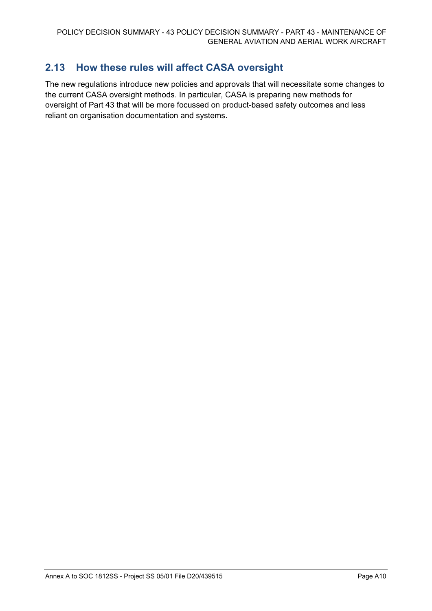# **2.13 How these rules will affect CASA oversight**

The new regulations introduce new policies and approvals that will necessitate some changes to the current CASA oversight methods. In particular, CASA is preparing new methods for oversight of Part 43 that will be more focussed on product-based safety outcomes and less reliant on organisation documentation and systems.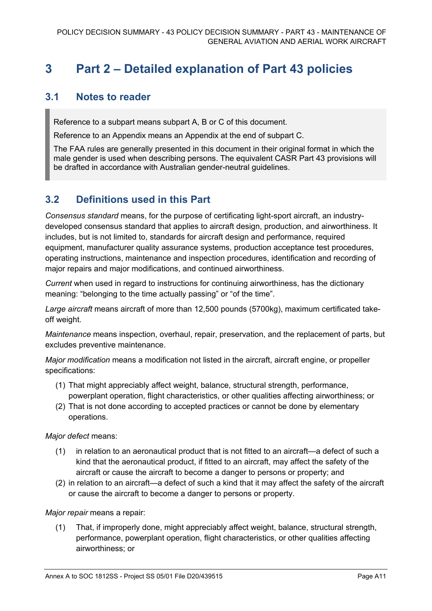# **3 Part 2 – Detailed explanation of Part 43 policies**

## **3.1 Notes to reader**

Reference to a subpart means subpart A, B or C of this document.

Reference to an Appendix means an Appendix at the end of subpart C.

The FAA rules are generally presented in this document in their original format in which the male gender is used when describing persons. The equivalent CASR Part 43 provisions will be drafted in accordance with Australian gender-neutral guidelines.

# **3.2 Definitions used in this Part**

*Consensus standard* means, for the purpose of certificating light-sport aircraft, an industrydeveloped consensus standard that applies to aircraft design, production, and airworthiness. It includes, but is not limited to, standards for aircraft design and performance, required equipment, manufacturer quality assurance systems, production acceptance test procedures, operating instructions, maintenance and inspection procedures, identification and recording of major repairs and major modifications, and continued airworthiness.

*Current* when used in regard to instructions for continuing airworthiness, has the dictionary meaning: "belonging to the time actually passing" or "of the time".

*Large aircraft* means aircraft of more than 12,500 pounds (5700kg), maximum certificated takeoff weight.

*Maintenance* means inspection, overhaul, repair, preservation, and the replacement of parts, but excludes preventive maintenance.

*Major modification* means a modification not listed in the aircraft, aircraft engine, or propeller specifications:

- (1) That might appreciably affect weight, balance, structural strength, performance, powerplant operation, flight characteristics, or other qualities affecting airworthiness; or
- (2) That is not done according to accepted practices or cannot be done by elementary operations.

*Major defect* means:

- (1) in relation to an aeronautical product that is not fitted to an aircraft—a defect of such a kind that the aeronautical product, if fitted to an aircraft, may affect the safety of the aircraft or cause the aircraft to become a danger to persons or property; and
- (2) in relation to an aircraft—a defect of such a kind that it may affect the safety of the aircraft or cause the aircraft to become a danger to persons or property.

*Major repair* means a repair:

(1) That, if improperly done, might appreciably affect weight, balance, structural strength, performance, powerplant operation, flight characteristics, or other qualities affecting airworthiness; or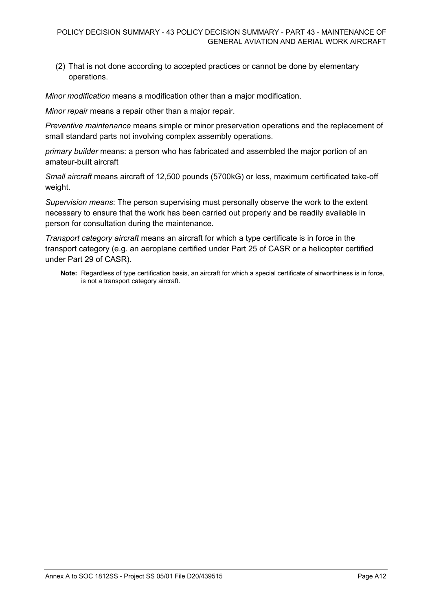(2) That is not done according to accepted practices or cannot be done by elementary operations.

*Minor modification* means a modification other than a major modification.

*Minor repair* means a repair other than a major repair.

*Preventive maintenance* means simple or minor preservation operations and the replacement of small standard parts not involving complex assembly operations.

*primary builder* means: a person who has fabricated and assembled the major portion of an amateur-built aircraft

*Small aircraft* means aircraft of 12,500 pounds (5700kG) or less, maximum certificated take-off weight.

*Supervision means*: The person supervising must personally observe the work to the extent necessary to ensure that the work has been carried out properly and be readily available in person for consultation during the maintenance.

*Transport category aircraft* means an aircraft for which a type certificate is in force in the transport category (e.g. an aeroplane certified under Part 25 of CASR or a helicopter certified under Part 29 of CASR).

**Note:** Regardless of type certification basis, an aircraft for which a special certificate of airworthiness is in force, is not a transport category aircraft.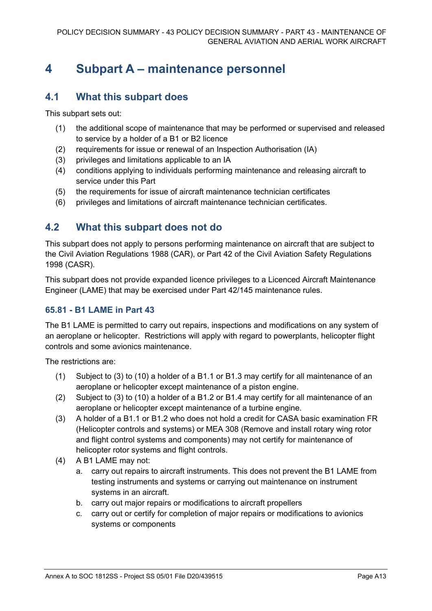# **4 Subpart A – maintenance personnel**

## **4.1 What this subpart does**

This subpart sets out:

- (1) the additional scope of maintenance that may be performed or supervised and released to service by a holder of a B1 or B2 licence
- (2) requirements for issue or renewal of an Inspection Authorisation (IA)
- (3) privileges and limitations applicable to an IA
- (4) conditions applying to individuals performing maintenance and releasing aircraft to service under this Part
- (5) the requirements for issue of aircraft maintenance technician certificates
- (6) privileges and limitations of aircraft maintenance technician certificates.

## **4.2 What this subpart does not do**

This subpart does not apply to persons performing maintenance on aircraft that are subject to the Civil Aviation Regulations 1988 (CAR), or Part 42 of the Civil Aviation Safety Regulations 1998 (CASR).

This subpart does not provide expanded licence privileges to a Licenced Aircraft Maintenance Engineer (LAME) that may be exercised under Part 42/145 maintenance rules.

## **65.81 - B1 LAME in Part 43**

The B1 LAME is permitted to carry out repairs, inspections and modifications on any system of an aeroplane or helicopter. Restrictions will apply with regard to powerplants, helicopter flight controls and some avionics maintenance.

The restrictions are:

- (1) Subject to (3) to (10) a holder of a B1.1 or B1.3 may certify for all maintenance of an aeroplane or helicopter except maintenance of a piston engine.
- (2) Subject to (3) to (10) a holder of a B1.2 or B1.4 may certify for all maintenance of an aeroplane or helicopter except maintenance of a turbine engine.
- (3) A holder of a B1.1 or B1.2 who does not hold a credit for CASA basic examination FR (Helicopter controls and systems) or MEA 308 (Remove and install rotary wing rotor and flight control systems and components) may not certify for maintenance of helicopter rotor systems and flight controls.
- (4) A B1 LAME may not:
	- a. carry out repairs to aircraft instruments. This does not prevent the B1 LAME from testing instruments and systems or carrying out maintenance on instrument systems in an aircraft.
	- b. carry out major repairs or modifications to aircraft propellers
	- c. carry out or certify for completion of major repairs or modifications to avionics systems or components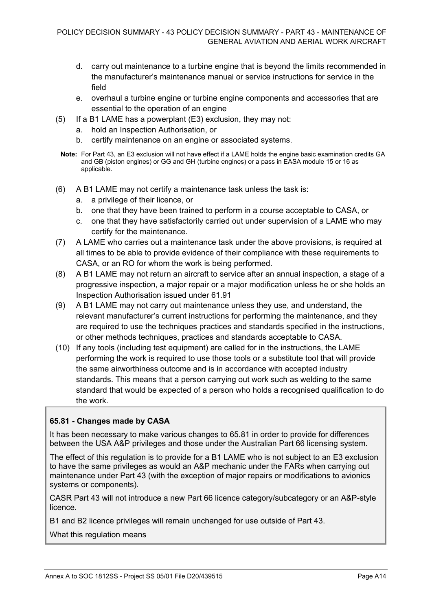- d. carry out maintenance to a turbine engine that is beyond the limits recommended in the manufacturer's maintenance manual or service instructions for service in the field
- e. overhaul a turbine engine or turbine engine components and accessories that are essential to the operation of an engine
- (5) If a B1 LAME has a powerplant (E3) exclusion, they may not:
	- a. hold an Inspection Authorisation, or
	- b. certify maintenance on an engine or associated systems.
	- **Note:** For Part 43, an E3 exclusion will not have effect if a LAME holds the engine basic examination credits GA and GB (piston engines) or GG and GH (turbine engines) or a pass in EASA module 15 or 16 as applicable.
- (6) A B1 LAME may not certify a maintenance task unless the task is:
	- a. a privilege of their licence, or
	- b. one that they have been trained to perform in a course acceptable to CASA, or
	- c. one that they have satisfactorily carried out under supervision of a LAME who may certify for the maintenance.
- (7) A LAME who carries out a maintenance task under the above provisions, is required at all times to be able to provide evidence of their compliance with these requirements to CASA, or an RO for whom the work is being performed.
- (8) A B1 LAME may not return an aircraft to service after an annual inspection, a stage of a progressive inspection, a major repair or a major modification unless he or she holds an Inspection Authorisation issued under 61.91
- (9) A B1 LAME may not carry out maintenance unless they use, and understand, the relevant manufacturer's current instructions for performing the maintenance, and they are required to use the techniques practices and standards specified in the instructions, or other methods techniques, practices and standards acceptable to CASA.
- (10) If any tools (including test equipment) are called for in the instructions, the LAME performing the work is required to use those tools or a substitute tool that will provide the same airworthiness outcome and is in accordance with accepted industry standards. This means that a person carrying out work such as welding to the same standard that would be expected of a person who holds a recognised qualification to do the work.

## **65.81 - Changes made by CASA**

It has been necessary to make various changes to 65.81 in order to provide for differences between the USA A&P privileges and those under the Australian Part 66 licensing system.

The effect of this regulation is to provide for a B1 LAME who is not subject to an E3 exclusion to have the same privileges as would an A&P mechanic under the FARs when carrying out maintenance under Part 43 (with the exception of major repairs or modifications to avionics systems or components).

CASR Part 43 will not introduce a new Part 66 licence category/subcategory or an A&P-style licence.

B1 and B2 licence privileges will remain unchanged for use outside of Part 43.

What this regulation means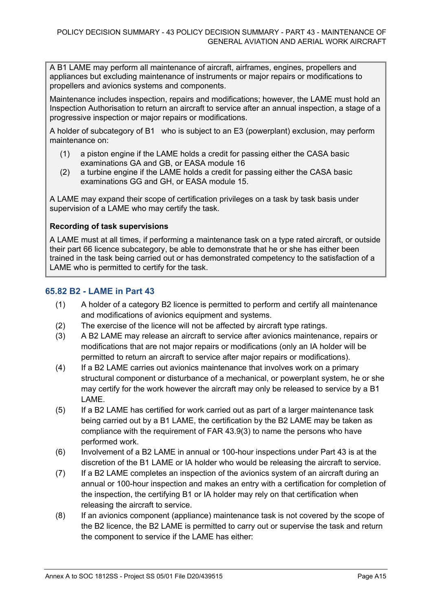A B1 LAME may perform all maintenance of aircraft, airframes, engines, propellers and appliances but excluding maintenance of instruments or major repairs or modifications to propellers and avionics systems and components.

Maintenance includes inspection, repairs and modifications; however, the LAME must hold an Inspection Authorisation to return an aircraft to service after an annual inspection, a stage of a progressive inspection or major repairs or modifications.

A holder of subcategory of B1 who is subject to an E3 (powerplant) exclusion, may perform maintenance on:

- (1) a piston engine if the LAME holds a credit for passing either the CASA basic examinations GA and GB, or EASA module 16
- (2) a turbine engine if the LAME holds a credit for passing either the CASA basic examinations GG and GH, or EASA module 15.

A LAME may expand their scope of certification privileges on a task by task basis under supervision of a LAME who may certify the task.

### **Recording of task supervisions**

A LAME must at all times, if performing a maintenance task on a type rated aircraft, or outside their part 66 licence subcategory, be able to demonstrate that he or she has either been trained in the task being carried out or has demonstrated competency to the satisfaction of a LAME who is permitted to certify for the task.

## **65.82 B2 - LAME in Part 43**

- (1) A holder of a category B2 licence is permitted to perform and certify all maintenance and modifications of avionics equipment and systems.
- (2) The exercise of the licence will not be affected by aircraft type ratings.
- (3) A B2 LAME may release an aircraft to service after avionics maintenance, repairs or modifications that are not major repairs or modifications (only an IA holder will be permitted to return an aircraft to service after major repairs or modifications).
- (4) If a B2 LAME carries out avionics maintenance that involves work on a primary structural component or disturbance of a mechanical, or powerplant system, he or she may certify for the work however the aircraft may only be released to service by a B1 LAME.
- (5) If a B2 LAME has certified for work carried out as part of a larger maintenance task being carried out by a B1 LAME, the certification by the B2 LAME may be taken as compliance with the requirement of FAR 43.9(3) to name the persons who have performed work.
- (6) Involvement of a B2 LAME in annual or 100-hour inspections under Part 43 is at the discretion of the B1 LAME or IA holder who would be releasing the aircraft to service.
- (7) If a B2 LAME completes an inspection of the avionics system of an aircraft during an annual or 100-hour inspection and makes an entry with a certification for completion of the inspection, the certifying B1 or IA holder may rely on that certification when releasing the aircraft to service.
- (8) If an avionics component (appliance) maintenance task is not covered by the scope of the B2 licence, the B2 LAME is permitted to carry out or supervise the task and return the component to service if the LAME has either: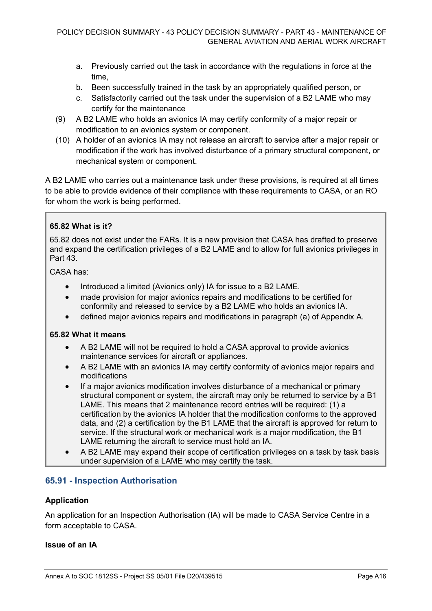- a. Previously carried out the task in accordance with the regulations in force at the time,
- b. Been successfully trained in the task by an appropriately qualified person, or
- c. Satisfactorily carried out the task under the supervision of a B2 LAME who may certify for the maintenance
- (9) A B2 LAME who holds an avionics IA may certify conformity of a major repair or modification to an avionics system or component.
- (10) A holder of an avionics IA may not release an aircraft to service after a major repair or modification if the work has involved disturbance of a primary structural component, or mechanical system or component.

A B2 LAME who carries out a maintenance task under these provisions, is required at all times to be able to provide evidence of their compliance with these requirements to CASA, or an RO for whom the work is being performed.

## **65.82 What is it?**

65.82 does not exist under the FARs. It is a new provision that CASA has drafted to preserve and expand the certification privileges of a B2 LAME and to allow for full avionics privileges in Part 43.

CASA has:

- Introduced a limited (Avionics only) IA for issue to a B2 LAME.
- made provision for major avionics repairs and modifications to be certified for conformity and released to service by a B2 LAME who holds an avionics IA.
- defined major avionics repairs and modifications in paragraph (a) of Appendix A.

### **65.82 What it means**

- A B2 LAME will not be required to hold a CASA approval to provide avionics maintenance services for aircraft or appliances.
- A B2 LAME with an avionics IA may certify conformity of avionics major repairs and modifications
- If a major avionics modification involves disturbance of a mechanical or primary structural component or system, the aircraft may only be returned to service by a B1 LAME. This means that 2 maintenance record entries will be required: (1) a certification by the avionics IA holder that the modification conforms to the approved data, and (2) a certification by the B1 LAME that the aircraft is approved for return to service. If the structural work or mechanical work is a major modification, the B1 LAME returning the aircraft to service must hold an IA.
- A B2 LAME may expand their scope of certification privileges on a task by task basis under supervision of a LAME who may certify the task.

## **65.91 - Inspection Authorisation**

### **Application**

An application for an Inspection Authorisation (IA) will be made to CASA Service Centre in a form acceptable to CASA.

### **Issue of an IA**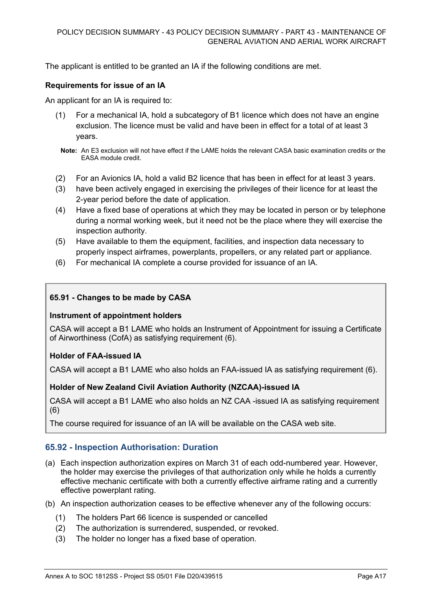The applicant is entitled to be granted an IA if the following conditions are met.

## **Requirements for issue of an IA**

An applicant for an IA is required to:

- (1) For a mechanical IA, hold a subcategory of B1 licence which does not have an engine exclusion. The licence must be valid and have been in effect for a total of at least 3 years.
	- **Note:** An E3 exclusion will not have effect if the LAME holds the relevant CASA basic examination credits or the EASA module credit.
- (2) For an Avionics IA, hold a valid B2 licence that has been in effect for at least 3 years.
- (3) have been actively engaged in exercising the privileges of their licence for at least the 2-year period before the date of application.
- (4) Have a fixed base of operations at which they may be located in person or by telephone during a normal working week, but it need not be the place where they will exercise the inspection authority.
- (5) Have available to them the equipment, facilities, and inspection data necessary to properly inspect airframes, powerplants, propellers, or any related part or appliance.
- (6) For mechanical IA complete a course provided for issuance of an IA.

## **65.91 - Changes to be made by CASA**

### **Instrument of appointment holders**

CASA will accept a B1 LAME who holds an Instrument of Appointment for issuing a Certificate of Airworthiness (CofA) as satisfying requirement (6).

### **Holder of FAA-issued IA**

CASA will accept a B1 LAME who also holds an FAA-issued IA as satisfying requirement (6).

### **Holder of New Zealand Civil Aviation Authority (NZCAA)-issued IA**

CASA will accept a B1 LAME who also holds an NZ CAA -issued IA as satisfying requirement (6)

The course required for issuance of an IA will be available on the CASA web site.

### **65.92 - Inspection Authorisation: Duration**

- (a) Each inspection authorization expires on March 31 of each odd-numbered year. However, the holder may exercise the privileges of that authorization only while he holds a currently effective mechanic certificate with both a currently effective airframe rating and a currently effective powerplant rating.
- (b) An inspection authorization ceases to be effective whenever any of the following occurs:
	- (1) The holders Part 66 licence is suspended or cancelled
	- (2) The authorization is surrendered, suspended, or revoked.
	- (3) The holder no longer has a fixed base of operation.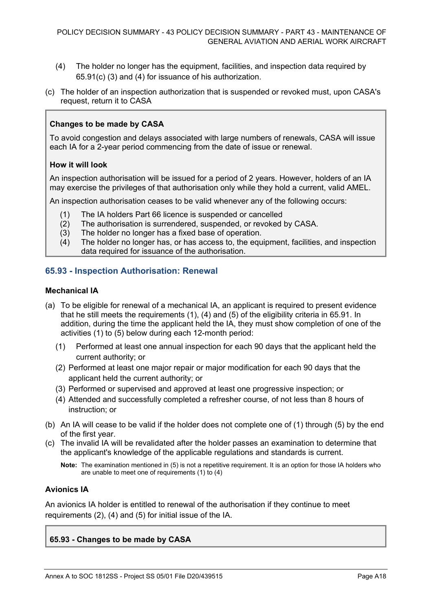- (4) The holder no longer has the equipment, facilities, and inspection data required by 65.91(c) (3) and (4) for issuance of his authorization.
- (c) The holder of an inspection authorization that is suspended or revoked must, upon CASA's request, return it to CASA

### **Changes to be made by CASA**

To avoid congestion and delays associated with large numbers of renewals, CASA will issue each IA for a 2-year period commencing from the date of issue or renewal.

#### **How it will look**

An inspection authorisation will be issued for a period of 2 years. However, holders of an IA may exercise the privileges of that authorisation only while they hold a current, valid AMEL.

An inspection authorisation ceases to be valid whenever any of the following occurs:

- (1) The IA holders Part 66 licence is suspended or cancelled<br>(2) The authorisation is surrendered, suspended, or revoked
- The authorisation is surrendered, suspended, or revoked by CASA.
- 
- (3) The holder no longer has a fixed base of operation.<br>(4) The holder no longer has, or has access to, the eque The holder no longer has, or has access to, the equipment, facilities, and inspection data required for issuance of the authorisation.

### **65.93 - Inspection Authorisation: Renewal**

#### **Mechanical IA**

- (a) To be eligible for renewal of a mechanical IA, an applicant is required to present evidence that he still meets the requirements (1), (4) and (5) of the eligibility criteria in 65.91. In addition, during the time the applicant held the IA, they must show completion of one of the activities (1) to (5) below during each 12-month period:
	- (1) Performed at least one annual inspection for each 90 days that the applicant held the current authority; or
	- (2) Performed at least one major repair or major modification for each 90 days that the applicant held the current authority; or
	- (3) Performed or supervised and approved at least one progressive inspection; or
	- (4) Attended and successfully completed a refresher course, of not less than 8 hours of instruction; or
- (b) An IA will cease to be valid if the holder does not complete one of (1) through (5) by the end of the first year.
- (c) The invalid IA will be revalidated after the holder passes an examination to determine that the applicant's knowledge of the applicable regulations and standards is current.

**Note:** The examination mentioned in (5) is not a repetitive requirement. It is an option for those IA holders who are unable to meet one of requirements (1) to (4)

### **Avionics IA**

An avionics IA holder is entitled to renewal of the authorisation if they continue to meet requirements (2), (4) and (5) for initial issue of the IA.

#### **65.93 - Changes to be made by CASA**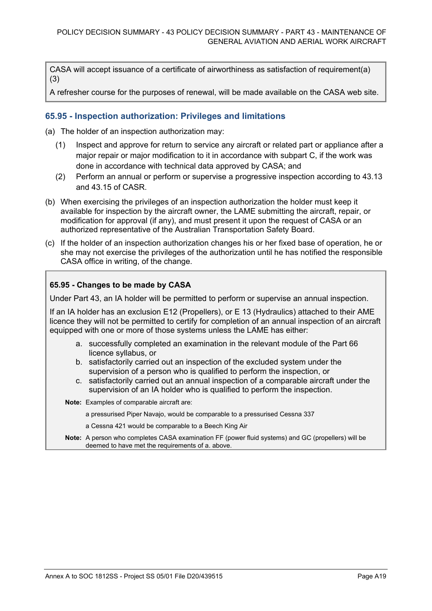CASA will accept issuance of a certificate of airworthiness as satisfaction of requirement(a) (3)

A refresher course for the purposes of renewal, will be made available on the CASA web site.

## **65.95 - Inspection authorization: Privileges and limitations**

(a) The holder of an inspection authorization may:

- (1) Inspect and approve for return to service any aircraft or related part or appliance after a major repair or major modification to it in accordance with subpart C, if the work was done in accordance with technical data approved by CASA; and
- (2) Perform an annual or perform or supervise a progressive inspection according to 43.13 and 43.15 of CASR.
- (b) When exercising the privileges of an inspection authorization the holder must keep it available for inspection by the aircraft owner, the LAME submitting the aircraft, repair, or modification for approval (if any), and must present it upon the request of CASA or an authorized representative of the Australian Transportation Safety Board.
- (c) If the holder of an inspection authorization changes his or her fixed base of operation, he or she may not exercise the privileges of the authorization until he has notified the responsible CASA office in writing, of the change.

### **65.95 - Changes to be made by CASA**

Under Part 43, an IA holder will be permitted to perform or supervise an annual inspection.

If an IA holder has an exclusion E12 (Propellers), or E 13 (Hydraulics) attached to their AME licence they will not be permitted to certify for completion of an annual inspection of an aircraft equipped with one or more of those systems unless the LAME has either:

- a. successfully completed an examination in the relevant module of the Part 66 licence syllabus, or
- b. satisfactorily carried out an inspection of the excluded system under the supervision of a person who is qualified to perform the inspection, or
- c. satisfactorily carried out an annual inspection of a comparable aircraft under the supervision of an IA holder who is qualified to perform the inspection.

**Note:** Examples of comparable aircraft are:

- a pressurised Piper Navajo, would be comparable to a pressurised Cessna 337
- a Cessna 421 would be comparable to a Beech King Air
- **Note:** A person who completes CASA examination FF (power fluid systems) and GC (propellers) will be deemed to have met the requirements of a. above.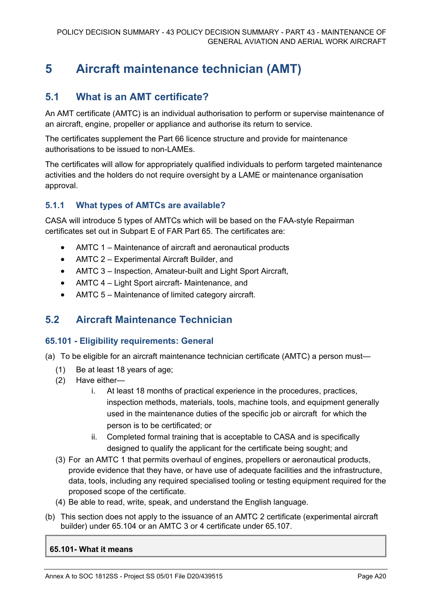# **5 Aircraft maintenance technician (AMT)**

## **5.1 What is an AMT certificate?**

An AMT certificate (AMTC) is an individual authorisation to perform or supervise maintenance of an aircraft, engine, propeller or appliance and authorise its return to service.

The certificates supplement the Part 66 licence structure and provide for maintenance authorisations to be issued to non-LAMEs.

The certificates will allow for appropriately qualified individuals to perform targeted maintenance activities and the holders do not require oversight by a LAME or maintenance organisation approval.

## **5.1.1 What types of AMTCs are available?**

CASA will introduce 5 types of AMTCs which will be based on the FAA-style Repairman certificates set out in Subpart E of FAR Part 65. The certificates are:

- AMTC 1 Maintenance of aircraft and aeronautical products
- AMTC 2 Experimental Aircraft Builder, and
- AMTC 3 Inspection, Amateur-built and Light Sport Aircraft,
- AMTC 4 Light Sport aircraft- Maintenance, and
- AMTC 5 Maintenance of limited category aircraft.

## **5.2 Aircraft Maintenance Technician**

## **65.101 - Eligibility requirements: General**

(a) To be eligible for an aircraft maintenance technician certificate (AMTC) a person must—

- (1) Be at least 18 years of age;
- (2) Have either
	- i. At least 18 months of practical experience in the procedures, practices, inspection methods, materials, tools, machine tools, and equipment generally used in the maintenance duties of the specific job or aircraft for which the person is to be certificated; or
	- ii. Completed formal training that is acceptable to CASA and is specifically designed to qualify the applicant for the certificate being sought; and
- (3) For an AMTC 1 that permits overhaul of engines, propellers or aeronautical products, provide evidence that they have, or have use of adequate facilities and the infrastructure, data, tools, including any required specialised tooling or testing equipment required for the proposed scope of the certificate.
- (4) Be able to read, write, speak, and understand the English language.
- (b) This section does not apply to the issuance of an AMTC 2 certificate (experimental aircraft builder) under 65.104 or an AMTC 3 or 4 certificate under 65.107.

### **65.101- What it means**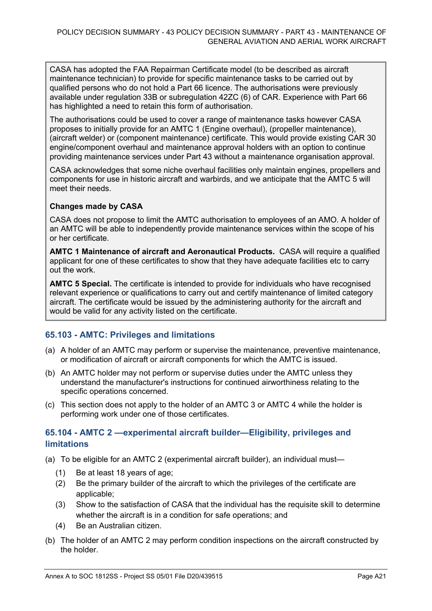CASA has adopted the FAA Repairman Certificate model (to be described as aircraft maintenance technician) to provide for specific maintenance tasks to be carried out by qualified persons who do not hold a Part 66 licence. The authorisations were previously available under regulation 33B or subregulation 42ZC (6) of CAR. Experience with Part 66 has highlighted a need to retain this form of authorisation.

The authorisations could be used to cover a range of maintenance tasks however CASA proposes to initially provide for an AMTC 1 (Engine overhaul), (propeller maintenance), (aircraft welder) or (component maintenance) certificate. This would provide existing CAR 30 engine/component overhaul and maintenance approval holders with an option to continue providing maintenance services under Part 43 without a maintenance organisation approval.

CASA acknowledges that some niche overhaul facilities only maintain engines, propellers and components for use in historic aircraft and warbirds, and we anticipate that the AMTC 5 will meet their needs.

## **Changes made by CASA**

CASA does not propose to limit the AMTC authorisation to employees of an AMO. A holder of an AMTC will be able to independently provide maintenance services within the scope of his or her certificate.

**AMTC 1 Maintenance of aircraft and Aeronautical Products.** CASA will require a qualified applicant for one of these certificates to show that they have adequate facilities etc to carry out the work.

**AMTC 5 Special.** The certificate is intended to provide for individuals who have recognised relevant experience or qualifications to carry out and certify maintenance of limited category aircraft. The certificate would be issued by the administering authority for the aircraft and would be valid for any activity listed on the certificate.

## **65.103 - AMTC: Privileges and limitations**

- (a) A holder of an AMTC may perform or supervise the maintenance, preventive maintenance, or modification of aircraft or aircraft components for which the AMTC is issued.
- (b) An AMTC holder may not perform or supervise duties under the AMTC unless they understand the manufacturer's instructions for continued airworthiness relating to the specific operations concerned.
- (c) This section does not apply to the holder of an AMTC 3 or AMTC 4 while the holder is performing work under one of those certificates.

## **65.104 - AMTC 2 —experimental aircraft builder—Eligibility, privileges and limitations**

(a) To be eligible for an AMTC 2 (experimental aircraft builder), an individual must—

- (1) Be at least 18 years of age;
- (2) Be the primary builder of the aircraft to which the privileges of the certificate are applicable;
- (3) Show to the satisfaction of CASA that the individual has the requisite skill to determine whether the aircraft is in a condition for safe operations; and
- (4) Be an Australian citizen.
- (b) The holder of an AMTC 2 may perform condition inspections on the aircraft constructed by the holder.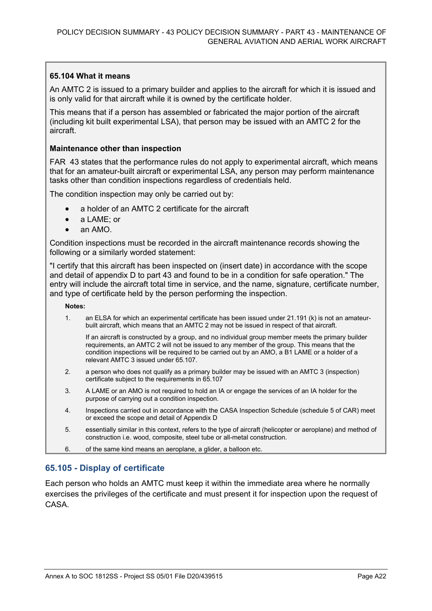## **65.104 What it means**

An AMTC 2 is issued to a primary builder and applies to the aircraft for which it is issued and is only valid for that aircraft while it is owned by the certificate holder.

This means that if a person has assembled or fabricated the major portion of the aircraft (including kit built experimental LSA), that person may be issued with an AMTC 2 for the aircraft.

### **Maintenance other than inspection**

FAR 43 states that the performance rules do not apply to experimental aircraft, which means that for an amateur-built aircraft or experimental LSA, any person may perform maintenance tasks other than condition inspections regardless of credentials held.

The condition inspection may only be carried out by:

- a holder of an AMTC 2 certificate for the aircraft
- a LAME; or
- an AMO.

Condition inspections must be recorded in the aircraft maintenance records showing the following or a similarly worded statement:

"I certify that this aircraft has been inspected on (insert date) in accordance with the scope and detail of appendix D to part 43 and found to be in a condition for safe operation." The entry will include the aircraft total time in service, and the name, signature, certificate number, and type of certificate held by the person performing the inspection.

#### **Notes:**

1. an ELSA for which an experimental certificate has been issued under 21.191 (k) is not an amateurbuilt aircraft, which means that an AMTC 2 may not be issued in respect of that aircraft.

If an aircraft is constructed by a group, and no individual group member meets the primary builder requirements, an AMTC 2 will not be issued to any member of the group. This means that the condition inspections will be required to be carried out by an AMO, a B1 LAME or a holder of a relevant AMTC 3 issued under 65.107.

- 2. a person who does not qualify as a primary builder may be issued with an AMTC 3 (inspection) certificate subject to the requirements in 65.107
- 3. A LAME or an AMO is not required to hold an IA or engage the services of an IA holder for the purpose of carrying out a condition inspection.
- 4. Inspections carried out in accordance with the CASA Inspection Schedule (schedule 5 of CAR) meet or exceed the scope and detail of Appendix D
- 5. essentially similar in this context, refers to the type of aircraft (helicopter or aeroplane) and method of construction i.e. wood, composite, steel tube or all-metal construction.
- 6. of the same kind means an aeroplane, a glider, a balloon etc.

### **65.105 - Display of certificate**

Each person who holds an AMTC must keep it within the immediate area where he normally exercises the privileges of the certificate and must present it for inspection upon the request of **CASA**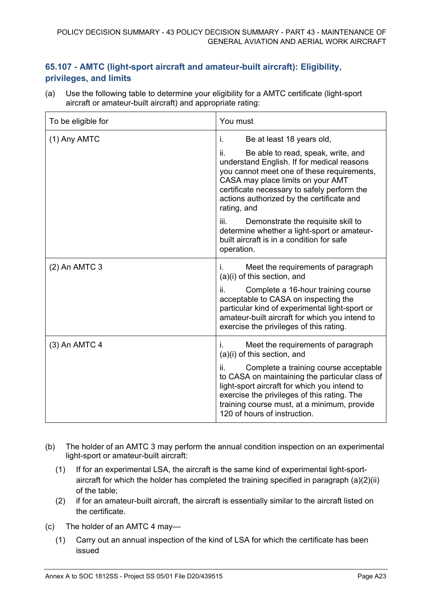## **65.107 - AMTC (light-sport aircraft and amateur-built aircraft): Eligibility, privileges, and limits**

(a) Use the following table to determine your eligibility for a AMTC certificate (light-sport aircraft or amateur-built aircraft) and appropriate rating:

| To be eligible for | You must                                                                                                                                                                                                                                                                              |
|--------------------|---------------------------------------------------------------------------------------------------------------------------------------------------------------------------------------------------------------------------------------------------------------------------------------|
| (1) Any AMTC       | i.<br>Be at least 18 years old,                                                                                                                                                                                                                                                       |
|                    | Be able to read, speak, write, and<br>ii.<br>understand English. If for medical reasons<br>you cannot meet one of these requirements,<br>CASA may place limits on your AMT<br>certificate necessary to safely perform the<br>actions authorized by the certificate and<br>rating, and |
|                    | iii.<br>Demonstrate the requisite skill to<br>determine whether a light-sport or amateur-<br>built aircraft is in a condition for safe<br>operation.                                                                                                                                  |
| (2) An AMTC 3      | Meet the requirements of paragraph<br>İ.<br>(a)(i) of this section, and                                                                                                                                                                                                               |
|                    | ii.<br>Complete a 16-hour training course<br>acceptable to CASA on inspecting the<br>particular kind of experimental light-sport or<br>amateur-built aircraft for which you intend to<br>exercise the privileges of this rating.                                                      |
| $(3)$ An AMTC 4    | Meet the requirements of paragraph<br>i.<br>(a)(i) of this section, and                                                                                                                                                                                                               |
|                    | Complete a training course acceptable<br>ii.<br>to CASA on maintaining the particular class of<br>light-sport aircraft for which you intend to<br>exercise the privileges of this rating. The<br>training course must, at a minimum, provide<br>120 of hours of instruction.          |

- (b) The holder of an AMTC 3 may perform the annual condition inspection on an experimental light-sport or amateur-built aircraft:
	- (1) If for an experimental LSA, the aircraft is the same kind of experimental light-sportaircraft for which the holder has completed the training specified in paragraph (a)(2)(ii) of the table;
	- (2) if for an amateur-built aircraft, the aircraft is essentially similar to the aircraft listed on the certificate.
- (c) The holder of an AMTC 4 may—
	- (1) Carry out an annual inspection of the kind of LSA for which the certificate has been issued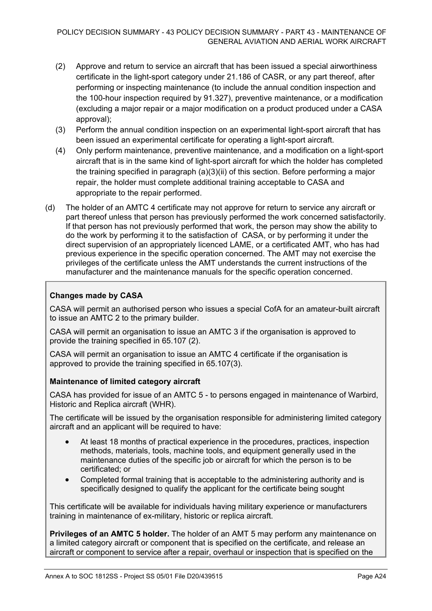- (2) Approve and return to service an aircraft that has been issued a special airworthiness certificate in the light-sport category under 21.186 of CASR, or any part thereof, after performing or inspecting maintenance (to include the annual condition inspection and the 100-hour inspection required by 91.327), preventive maintenance, or a modification (excluding a major repair or a major modification on a product produced under a CASA approval);
- (3) Perform the annual condition inspection on an experimental light-sport aircraft that has been issued an experimental certificate for operating a light-sport aircraft.
- (4) Only perform maintenance, preventive maintenance, and a modification on a light-sport aircraft that is in the same kind of light-sport aircraft for which the holder has completed the training specified in paragraph (a)(3)(ii) of this section. Before performing a major repair, the holder must complete additional training acceptable to CASA and appropriate to the repair performed.
- (d) The holder of an AMTC 4 certificate may not approve for return to service any aircraft or part thereof unless that person has previously performed the work concerned satisfactorily. If that person has not previously performed that work, the person may show the ability to do the work by performing it to the satisfaction of CASA, or by performing it under the direct supervision of an appropriately licenced LAME, or a certificated AMT, who has had previous experience in the specific operation concerned. The AMT may not exercise the privileges of the certificate unless the AMT understands the current instructions of the manufacturer and the maintenance manuals for the specific operation concerned.

## **Changes made by CASA**

CASA will permit an authorised person who issues a special CofA for an amateur-built aircraft to issue an AMTC 2 to the primary builder.

CASA will permit an organisation to issue an AMTC 3 if the organisation is approved to provide the training specified in 65.107 (2).

CASA will permit an organisation to issue an AMTC 4 certificate if the organisation is approved to provide the training specified in 65.107(3).

## **Maintenance of limited category aircraft**

CASA has provided for issue of an AMTC 5 - to persons engaged in maintenance of Warbird, Historic and Replica aircraft (WHR).

The certificate will be issued by the organisation responsible for administering limited category aircraft and an applicant will be required to have:

- At least 18 months of practical experience in the procedures, practices, inspection methods, materials, tools, machine tools, and equipment generally used in the maintenance duties of the specific job or aircraft for which the person is to be certificated; or
- Completed formal training that is acceptable to the administering authority and is specifically designed to qualify the applicant for the certificate being sought

This certificate will be available for individuals having military experience or manufacturers training in maintenance of ex-military, historic or replica aircraft.

**Privileges of an AMTC 5 holder.** The holder of an AMT 5 may perform any maintenance on a limited category aircraft or component that is specified on the certificate, and release an aircraft or component to service after a repair, overhaul or inspection that is specified on the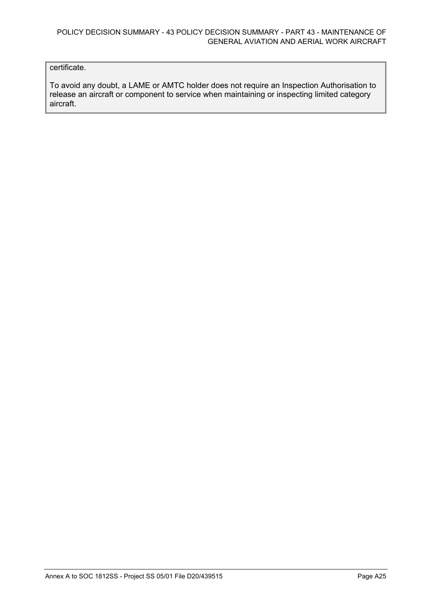## certificate.

To avoid any doubt, a LAME or AMTC holder does not require an Inspection Authorisation to release an aircraft or component to service when maintaining or inspecting limited category aircraft.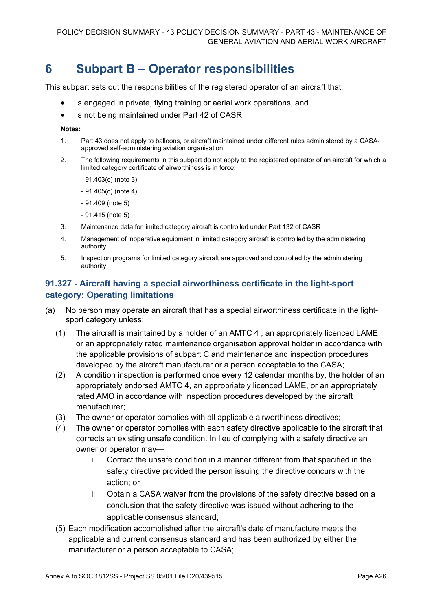# **6 Subpart B – Operator responsibilities**

This subpart sets out the responsibilities of the registered operator of an aircraft that:

- is engaged in private, flying training or aerial work operations, and
- is not being maintained under Part 42 of CASR

#### **Notes:**

- 1. Part 43 does not apply to balloons, or aircraft maintained under different rules administered by a CASAapproved self-administering aviation organisation.
- 2. The following requirements in this subpart do not apply to the registered operator of an aircraft for which a limited category certificate of airworthiness is in force:
	- 91.403(c) (note 3)
	- 91.405(c) (note 4)
	- 91.409 (note 5)
	- 91.415 (note 5)
- 3. Maintenance data for limited category aircraft is controlled under Part 132 of CASR
- 4. Management of inoperative equipment in limited category aircraft is controlled by the administering authority
- 5. Inspection programs for limited category aircraft are approved and controlled by the administering authority

## **91.327 - Aircraft having a special airworthiness certificate in the light-sport category: Operating limitations**

- (a) No person may operate an aircraft that has a special airworthiness certificate in the lightsport category unless:
	- (1) The aircraft is maintained by a holder of an AMTC 4 , an appropriately licenced LAME, or an appropriately rated maintenance organisation approval holder in accordance with the applicable provisions of subpart C and maintenance and inspection procedures developed by the aircraft manufacturer or a person acceptable to the CASA;
	- (2) A condition inspection is performed once every 12 calendar months by, the holder of an appropriately endorsed AMTC 4, an appropriately licenced LAME, or an appropriately rated AMO in accordance with inspection procedures developed by the aircraft manufacturer;
	- (3) The owner or operator complies with all applicable airworthiness directives;
	- (4) The owner or operator complies with each safety directive applicable to the aircraft that corrects an existing unsafe condition. In lieu of complying with a safety directive an owner or operator may
		- i. Correct the unsafe condition in a manner different from that specified in the safety directive provided the person issuing the directive concurs with the action; or
		- ii. Obtain a CASA waiver from the provisions of the safety directive based on a conclusion that the safety directive was issued without adhering to the applicable consensus standard;
	- (5) Each modification accomplished after the aircraft's date of manufacture meets the applicable and current consensus standard and has been authorized by either the manufacturer or a person acceptable to CASA;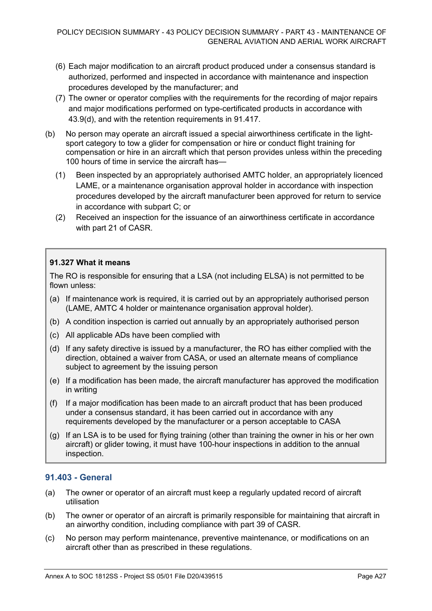- (6) Each major modification to an aircraft product produced under a consensus standard is authorized, performed and inspected in accordance with maintenance and inspection procedures developed by the manufacturer; and
- (7) The owner or operator complies with the requirements for the recording of major repairs and major modifications performed on type-certificated products in accordance with 43.9(d), and with the retention requirements in 91.417.
- (b) No person may operate an aircraft issued a special airworthiness certificate in the lightsport category to tow a glider for compensation or hire or conduct flight training for compensation or hire in an aircraft which that person provides unless within the preceding 100 hours of time in service the aircraft has—
	- (1) Been inspected by an appropriately authorised AMTC holder, an appropriately licenced LAME, or a maintenance organisation approval holder in accordance with inspection procedures developed by the aircraft manufacturer been approved for return to service in accordance with subpart C; or
	- (2) Received an inspection for the issuance of an airworthiness certificate in accordance with part 21 of CASR.

## **91.327 What it means**

The RO is responsible for ensuring that a LSA (not including ELSA) is not permitted to be flown unless:

- (a) If maintenance work is required, it is carried out by an appropriately authorised person (LAME, AMTC 4 holder or maintenance organisation approval holder).
- (b) A condition inspection is carried out annually by an appropriately authorised person
- (c) All applicable ADs have been complied with
- (d) If any safety directive is issued by a manufacturer, the RO has either complied with the direction, obtained a waiver from CASA, or used an alternate means of compliance subject to agreement by the issuing person
- (e) If a modification has been made, the aircraft manufacturer has approved the modification in writing
- (f) If a major modification has been made to an aircraft product that has been produced under a consensus standard, it has been carried out in accordance with any requirements developed by the manufacturer or a person acceptable to CASA
- (g) If an LSA is to be used for flying training (other than training the owner in his or her own aircraft) or glider towing, it must have 100-hour inspections in addition to the annual inspection.

## **91.403 - General**

- (a) The owner or operator of an aircraft must keep a regularly updated record of aircraft utilisation
- (b) The owner or operator of an aircraft is primarily responsible for maintaining that aircraft in an airworthy condition, including compliance with part 39 of CASR.
- (c) No person may perform maintenance, preventive maintenance, or modifications on an aircraft other than as prescribed in these regulations.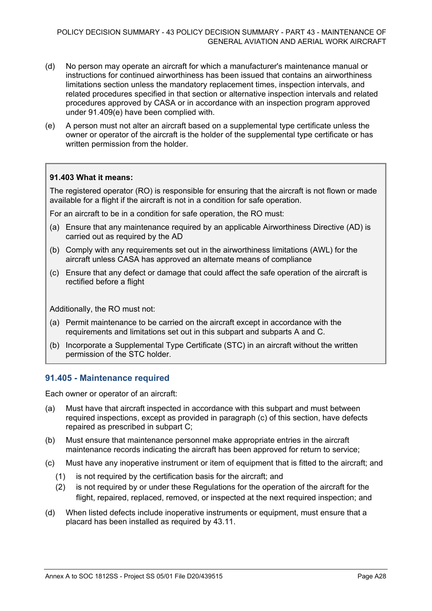- (d) No person may operate an aircraft for which a manufacturer's maintenance manual or instructions for continued airworthiness has been issued that contains an airworthiness limitations section unless the mandatory replacement times, inspection intervals, and related procedures specified in that section or alternative inspection intervals and related procedures approved by CASA or in accordance with an inspection program approved under 91.409(e) have been complied with.
- (e) A person must not alter an aircraft based on a supplemental type certificate unless the owner or operator of the aircraft is the holder of the supplemental type certificate or has written permission from the holder.

## **91.403 What it means:**

The registered operator (RO) is responsible for ensuring that the aircraft is not flown or made available for a flight if the aircraft is not in a condition for safe operation.

For an aircraft to be in a condition for safe operation, the RO must:

- (a) Ensure that any maintenance required by an applicable Airworthiness Directive (AD) is carried out as required by the AD
- (b) Comply with any requirements set out in the airworthiness limitations (AWL) for the aircraft unless CASA has approved an alternate means of compliance
- (c) Ensure that any defect or damage that could affect the safe operation of the aircraft is rectified before a flight

Additionally, the RO must not:

- (a) Permit maintenance to be carried on the aircraft except in accordance with the requirements and limitations set out in this subpart and subparts A and C.
- (b) Incorporate a Supplemental Type Certificate (STC) in an aircraft without the written permission of the STC holder.

## **91.405 - Maintenance required**

Each owner or operator of an aircraft:

- (a) Must have that aircraft inspected in accordance with this subpart and must between required inspections, except as provided in paragraph (c) of this section, have defects repaired as prescribed in subpart C;
- (b) Must ensure that maintenance personnel make appropriate entries in the aircraft maintenance records indicating the aircraft has been approved for return to service;
- (c) Must have any inoperative instrument or item of equipment that is fitted to the aircraft; and
	- (1) is not required by the certification basis for the aircraft; and
	- (2) is not required by or under these Regulations for the operation of the aircraft for the flight, repaired, replaced, removed, or inspected at the next required inspection; and
- (d) When listed defects include inoperative instruments or equipment, must ensure that a placard has been installed as required by 43.11.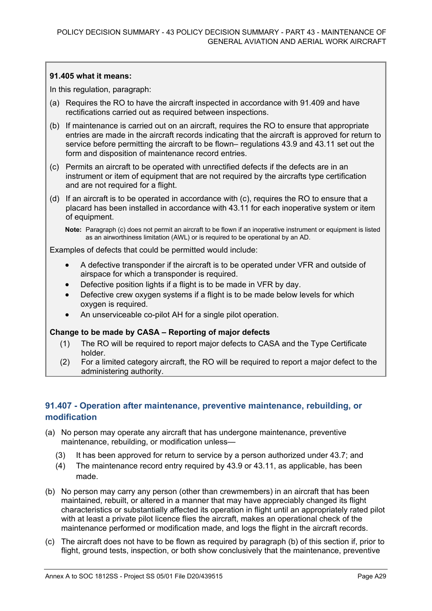### **91.405 what it means:**

In this regulation, paragraph:

- (a) Requires the RO to have the aircraft inspected in accordance with 91.409 and have rectifications carried out as required between inspections.
- (b) If maintenance is carried out on an aircraft, requires the RO to ensure that appropriate entries are made in the aircraft records indicating that the aircraft is approved for return to service before permitting the aircraft to be flown– regulations 43.9 and 43.11 set out the form and disposition of maintenance record entries.
- (c) Permits an aircraft to be operated with unrectified defects if the defects are in an instrument or item of equipment that are not required by the aircrafts type certification and are not required for a flight.
- (d) If an aircraft is to be operated in accordance with (c), requires the RO to ensure that a placard has been installed in accordance with 43.11 for each inoperative system or item of equipment.

**Note:** Paragraph (c) does not permit an aircraft to be flown if an inoperative instrument or equipment is listed as an airworthiness limitation (AWL) or is required to be operational by an AD.

Examples of defects that could be permitted would include:

- A defective transponder if the aircraft is to be operated under VFR and outside of airspace for which a transponder is required.
- Defective position lights if a flight is to be made in VFR by day.
- Defective crew oxygen systems if a flight is to be made below levels for which oxygen is required.
- An unserviceable co-pilot AH for a single pilot operation.

#### **Change to be made by CASA – Reporting of major defects**

- (1) The RO will be required to report major defects to CASA and the Type Certificate holder.
- (2) For a limited category aircraft, the RO will be required to report a major defect to the administering authority.

## **91.407 - Operation after maintenance, preventive maintenance, rebuilding, or modification**

- (a) No person may operate any aircraft that has undergone maintenance, preventive maintenance, rebuilding, or modification unless—
	- (3) It has been approved for return to service by a person authorized under 43.7; and
	- (4) The maintenance record entry required by 43.9 or 43.11, as applicable, has been made.
- (b) No person may carry any person (other than crewmembers) in an aircraft that has been maintained, rebuilt, or altered in a manner that may have appreciably changed its flight characteristics or substantially affected its operation in flight until an appropriately rated pilot with at least a private pilot licence flies the aircraft, makes an operational check of the maintenance performed or modification made, and logs the flight in the aircraft records.
- (c) The aircraft does not have to be flown as required by paragraph (b) of this section if, prior to flight, ground tests, inspection, or both show conclusively that the maintenance, preventive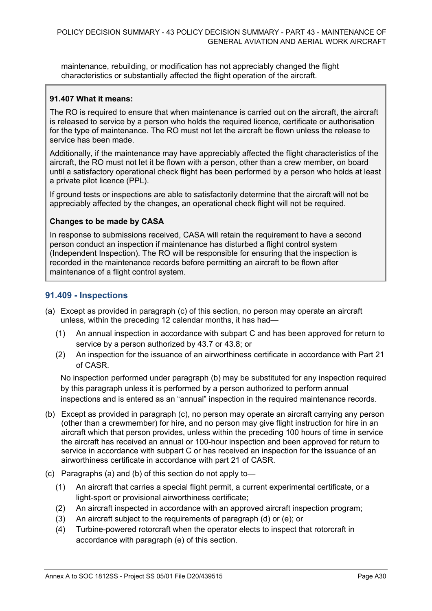maintenance, rebuilding, or modification has not appreciably changed the flight characteristics or substantially affected the flight operation of the aircraft.

## **91.407 What it means:**

The RO is required to ensure that when maintenance is carried out on the aircraft, the aircraft is released to service by a person who holds the required licence, certificate or authorisation for the type of maintenance. The RO must not let the aircraft be flown unless the release to service has been made.

Additionally, if the maintenance may have appreciably affected the flight characteristics of the aircraft, the RO must not let it be flown with a person, other than a crew member, on board until a satisfactory operational check flight has been performed by a person who holds at least a private pilot licence (PPL).

If ground tests or inspections are able to satisfactorily determine that the aircraft will not be appreciably affected by the changes, an operational check flight will not be required.

## **Changes to be made by CASA**

In response to submissions received, CASA will retain the requirement to have a second person conduct an inspection if maintenance has disturbed a flight control system (Independent Inspection). The RO will be responsible for ensuring that the inspection is recorded in the maintenance records before permitting an aircraft to be flown after maintenance of a flight control system.

## **91.409 - Inspections**

- (a) Except as provided in paragraph (c) of this section, no person may operate an aircraft unless, within the preceding 12 calendar months, it has had—
	- (1) An annual inspection in accordance with subpart C and has been approved for return to service by a person authorized by 43.7 or 43.8; or
	- (2) An inspection for the issuance of an airworthiness certificate in accordance with Part 21 of CASR.

No inspection performed under paragraph (b) may be substituted for any inspection required by this paragraph unless it is performed by a person authorized to perform annual inspections and is entered as an "annual" inspection in the required maintenance records.

- (b) Except as provided in paragraph (c), no person may operate an aircraft carrying any person (other than a crewmember) for hire, and no person may give flight instruction for hire in an aircraft which that person provides, unless within the preceding 100 hours of time in service the aircraft has received an annual or 100-hour inspection and been approved for return to service in accordance with subpart C or has received an inspection for the issuance of an airworthiness certificate in accordance with part 21 of CASR.
- (c) Paragraphs (a) and (b) of this section do not apply to—
	- (1) An aircraft that carries a special flight permit, a current experimental certificate, or a light-sport or provisional airworthiness certificate;
	- (2) An aircraft inspected in accordance with an approved aircraft inspection program;
	- (3) An aircraft subject to the requirements of paragraph (d) or (e); or
	- (4) Turbine-powered rotorcraft when the operator elects to inspect that rotorcraft in accordance with paragraph (e) of this section.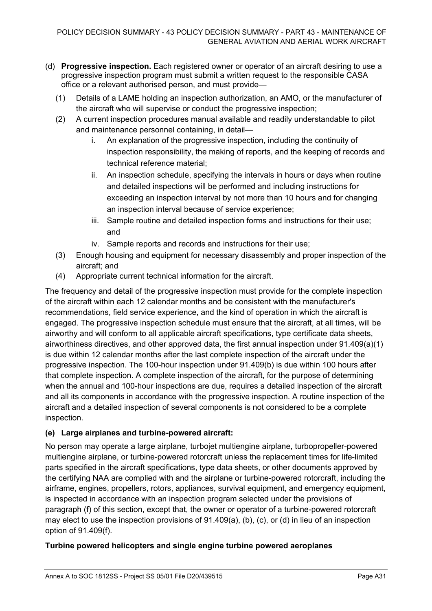- (d) **Progressive inspection.** Each registered owner or operator of an aircraft desiring to use a progressive inspection program must submit a written request to the responsible CASA office or a relevant authorised person, and must provide—
	- (1) Details of a LAME holding an inspection authorization, an AMO, or the manufacturer of the aircraft who will supervise or conduct the progressive inspection;
	- (2) A current inspection procedures manual available and readily understandable to pilot and maintenance personnel containing, in detail
		- i. An explanation of the progressive inspection, including the continuity of inspection responsibility, the making of reports, and the keeping of records and technical reference material;
		- ii. An inspection schedule, specifying the intervals in hours or days when routine and detailed inspections will be performed and including instructions for exceeding an inspection interval by not more than 10 hours and for changing an inspection interval because of service experience;
		- iii. Sample routine and detailed inspection forms and instructions for their use; and
		- iv. Sample reports and records and instructions for their use;
	- (3) Enough housing and equipment for necessary disassembly and proper inspection of the aircraft; and
	- (4) Appropriate current technical information for the aircraft.

The frequency and detail of the progressive inspection must provide for the complete inspection of the aircraft within each 12 calendar months and be consistent with the manufacturer's recommendations, field service experience, and the kind of operation in which the aircraft is engaged. The progressive inspection schedule must ensure that the aircraft, at all times, will be airworthy and will conform to all applicable aircraft specifications, type certificate data sheets, airworthiness directives, and other approved data, the first annual inspection under 91.409(a)(1) is due within 12 calendar months after the last complete inspection of the aircraft under the progressive inspection. The 100-hour inspection under 91.409(b) is due within 100 hours after that complete inspection. A complete inspection of the aircraft, for the purpose of determining when the annual and 100-hour inspections are due, requires a detailed inspection of the aircraft and all its components in accordance with the progressive inspection. A routine inspection of the aircraft and a detailed inspection of several components is not considered to be a complete inspection.

## **(e) Large airplanes and turbine-powered aircraft:**

No person may operate a large airplane, turbojet multiengine airplane, turbopropeller-powered multiengine airplane, or turbine-powered rotorcraft unless the replacement times for life-limited parts specified in the aircraft specifications, type data sheets, or other documents approved by the certifying NAA are complied with and the airplane or turbine-powered rotorcraft, including the airframe, engines, propellers, rotors, appliances, survival equipment, and emergency equipment, is inspected in accordance with an inspection program selected under the provisions of paragraph (f) of this section, except that, the owner or operator of a turbine-powered rotorcraft may elect to use the inspection provisions of 91.409(a), (b), (c), or (d) in lieu of an inspection option of 91.409(f).

## **Turbine powered helicopters and single engine turbine powered aeroplanes**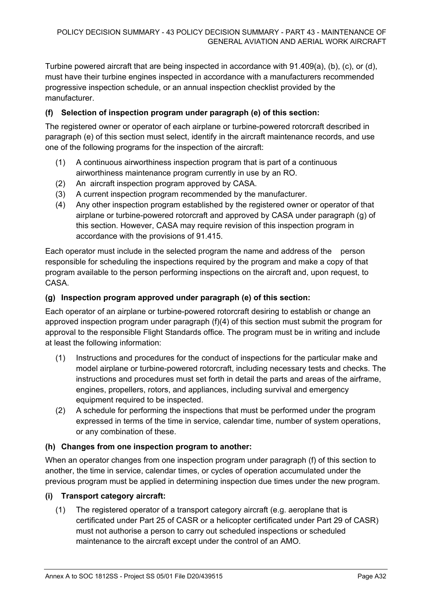Turbine powered aircraft that are being inspected in accordance with 91.409(a), (b), (c), or (d), must have their turbine engines inspected in accordance with a manufacturers recommended progressive inspection schedule, or an annual inspection checklist provided by the manufacturer.

## **(f) Selection of inspection program under paragraph (e) of this section:**

The registered owner or operator of each airplane or turbine-powered rotorcraft described in paragraph (e) of this section must select, identify in the aircraft maintenance records, and use one of the following programs for the inspection of the aircraft:

- (1) A continuous airworthiness inspection program that is part of a continuous airworthiness maintenance program currently in use by an RO.
- (2) An aircraft inspection program approved by CASA.
- (3) A current inspection program recommended by the manufacturer.
- (4) Any other inspection program established by the registered owner or operator of that airplane or turbine-powered rotorcraft and approved by CASA under paragraph (g) of this section. However, CASA may require revision of this inspection program in accordance with the provisions of 91.415.

Each operator must include in the selected program the name and address of the person responsible for scheduling the inspections required by the program and make a copy of that program available to the person performing inspections on the aircraft and, upon request, to CASA.

## **(g) Inspection program approved under paragraph (e) of this section:**

Each operator of an airplane or turbine-powered rotorcraft desiring to establish or change an approved inspection program under paragraph (f)(4) of this section must submit the program for approval to the responsible Flight Standards office. The program must be in writing and include at least the following information:

- (1) Instructions and procedures for the conduct of inspections for the particular make and model airplane or turbine-powered rotorcraft, including necessary tests and checks. The instructions and procedures must set forth in detail the parts and areas of the airframe, engines, propellers, rotors, and appliances, including survival and emergency equipment required to be inspected.
- (2) A schedule for performing the inspections that must be performed under the program expressed in terms of the time in service, calendar time, number of system operations, or any combination of these.

## **(h) Changes from one inspection program to another:**

When an operator changes from one inspection program under paragraph (f) of this section to another, the time in service, calendar times, or cycles of operation accumulated under the previous program must be applied in determining inspection due times under the new program.

## **(i) Transport category aircraft:**

(1) The registered operator of a transport category aircraft (e.g. aeroplane that is certificated under Part 25 of CASR or a helicopter certificated under Part 29 of CASR) must not authorise a person to carry out scheduled inspections or scheduled maintenance to the aircraft except under the control of an AMO.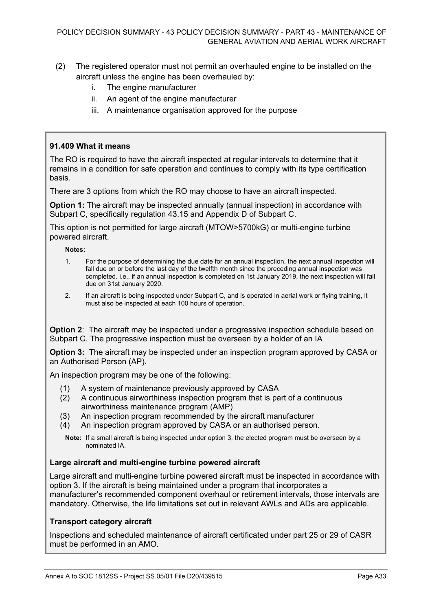## (2) The registered operator must not permit an overhauled engine to be installed on the aircraft unless the engine has been overhauled by:

- i. The engine manufacturer
- ii. An agent of the engine manufacturer
- iii. A maintenance organisation approved for the purpose

### **91.409 What it means**

The RO is required to have the aircraft inspected at regular intervals to determine that it remains in a condition for safe operation and continues to comply with its type certification basis.

There are 3 options from which the RO may choose to have an aircraft inspected.

**Option 1:** The aircraft may be inspected annually (annual inspection) in accordance with Subpart C, specifically regulation 43.15 and Appendix D of Subpart C.

This option is not permitted for large aircraft (MTOW>5700kG) or multi-engine turbine powered aircraft.

**Notes:**

- 1. For the purpose of determining the due date for an annual inspection, the next annual inspection will fall due on or before the last day of the twelfth month since the preceding annual inspection was completed. i.e., if an annual inspection is completed on 1st January 2019, the next inspection will fall due on 31st January 2020.
- 2. If an aircraft is being inspected under Subpart C, and is operated in aerial work or flying training, it must also be inspected at each 100 hours of operation.

**Option 2**: The aircraft may be inspected under a progressive inspection schedule based on Subpart C. The progressive inspection must be overseen by a holder of an IA

**Option 3:** The aircraft may be inspected under an inspection program approved by CASA or an Authorised Person (AP).

An inspection program may be one of the following:

- (1) A system of maintenance previously approved by CASA
- (2) A continuous airworthiness inspection program that is part of a continuous airworthiness maintenance program (AMP)
- (3) An inspection program recommended by the aircraft manufacturer
- (4) An inspection program approved by CASA or an authorised person.

**Note:** If a small aircraft is being inspected under option 3, the elected program must be overseen by a nominated IA.

### **Large aircraft and multi-engine turbine powered aircraft**

Large aircraft and multi-engine turbine powered aircraft must be inspected in accordance with option 3. If the aircraft is being maintained under a program that incorporates a manufacturer's recommended component overhaul or retirement intervals, those intervals are mandatory. Otherwise, the life limitations set out in relevant AWLs and ADs are applicable.

#### **Transport category aircraft**

Inspections and scheduled maintenance of aircraft certificated under part 25 or 29 of CASR must be performed in an AMO.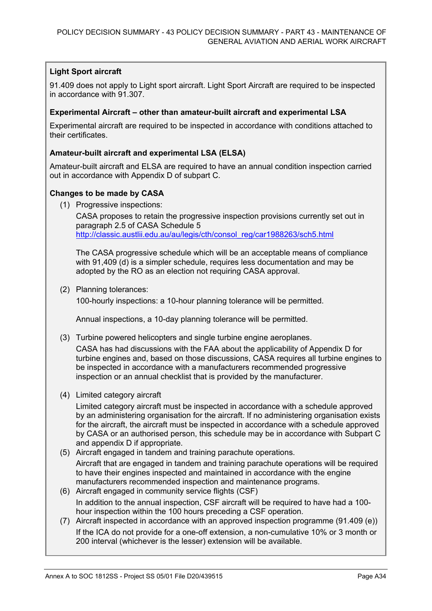## **Light Sport aircraft**

91.409 does not apply to Light sport aircraft. Light Sport Aircraft are required to be inspected in accordance with 91.307.

## **Experimental Aircraft – other than amateur-built aircraft and experimental LSA**

Experimental aircraft are required to be inspected in accordance with conditions attached to their certificates.

## **Amateur-built aircraft and experimental LSA (ELSA)**

Amateur-built aircraft and ELSA are required to have an annual condition inspection carried out in accordance with Appendix D of subpart C.

## **Changes to be made by CASA**

(1) Progressive inspections:

CASA proposes to retain the progressive inspection provisions currently set out in paragraph 2.5 of CASA Schedule 5 [http://classic.austlii.edu.au/au/legis/cth/consol\\_reg/car1988263/sch5.html](http://classic.austlii.edu.au/au/legis/cth/consol_reg/car1988263/sch5.html)

The CASA progressive schedule which will be an acceptable means of compliance with 91,409 (d) is a simpler schedule, requires less documentation and may be adopted by the RO as an election not requiring CASA approval.

(2) Planning tolerances:

100-hourly inspections: a 10-hour planning tolerance will be permitted.

Annual inspections, a 10-day planning tolerance will be permitted.

(3) Turbine powered helicopters and single turbine engine aeroplanes.

CASA has had discussions with the FAA about the applicability of Appendix D for turbine engines and, based on those discussions, CASA requires all turbine engines to be inspected in accordance with a manufacturers recommended progressive inspection or an annual checklist that is provided by the manufacturer.

(4) Limited category aircraft

Limited category aircraft must be inspected in accordance with a schedule approved by an administering organisation for the aircraft. If no administering organisation exists for the aircraft, the aircraft must be inspected in accordance with a schedule approved by CASA or an authorised person, this schedule may be in accordance with Subpart C and appendix D if appropriate.

(5) Aircraft engaged in tandem and training parachute operations.

Aircraft that are engaged in tandem and training parachute operations will be required to have their engines inspected and maintained in accordance with the engine manufacturers recommended inspection and maintenance programs.

- (6) Aircraft engaged in community service flights (CSF) In addition to the annual inspection, CSF aircraft will be required to have had a 100 hour inspection within the 100 hours preceding a CSF operation.
- (7) Aircraft inspected in accordance with an approved inspection programme (91.409 (e)) If the ICA do not provide for a one-off extension, a non-cumulative 10% or 3 month or 200 interval (whichever is the lesser) extension will be available.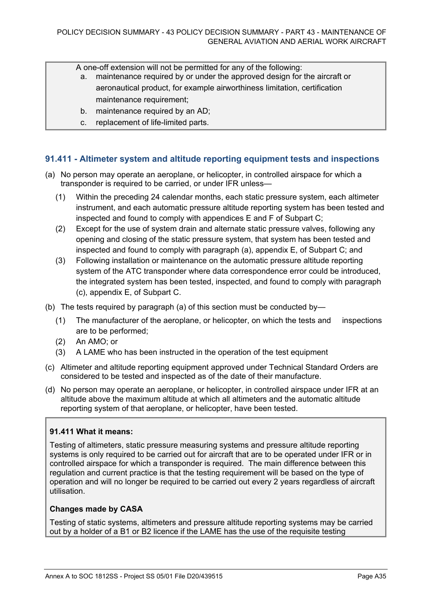A one-off extension will not be permitted for any of the following:

- a. maintenance required by or under the approved design for the aircraft or aeronautical product, for example airworthiness limitation, certification maintenance requirement;
- b. maintenance required by an AD;
- c. replacement of life-limited parts.

## **91.411 - Altimeter system and altitude reporting equipment tests and inspections**

- (a) No person may operate an aeroplane, or helicopter, in controlled airspace for which a transponder is required to be carried, or under IFR unless—
	- (1) Within the preceding 24 calendar months, each static pressure system, each altimeter instrument, and each automatic pressure altitude reporting system has been tested and inspected and found to comply with appendices E and F of Subpart C;
	- (2) Except for the use of system drain and alternate static pressure valves, following any opening and closing of the static pressure system, that system has been tested and inspected and found to comply with paragraph (a), appendix E, of Subpart C; and
	- (3) Following installation or maintenance on the automatic pressure altitude reporting system of the ATC transponder where data correspondence error could be introduced, the integrated system has been tested, inspected, and found to comply with paragraph (c), appendix E, of Subpart C.
- (b) The tests required by paragraph (a) of this section must be conducted by—
	- (1) The manufacturer of the aeroplane, or helicopter, on which the tests and inspections are to be performed;
	- (2) An AMO; or
	- (3) A LAME who has been instructed in the operation of the test equipment
- (c) Altimeter and altitude reporting equipment approved under Technical Standard Orders are considered to be tested and inspected as of the date of their manufacture.
- (d) No person may operate an aeroplane, or helicopter, in controlled airspace under IFR at an altitude above the maximum altitude at which all altimeters and the automatic altitude reporting system of that aeroplane, or helicopter, have been tested.

## **91.411 What it means:**

Testing of altimeters, static pressure measuring systems and pressure altitude reporting systems is only required to be carried out for aircraft that are to be operated under IFR or in controlled airspace for which a transponder is required. The main difference between this regulation and current practice is that the testing requirement will be based on the type of operation and will no longer be required to be carried out every 2 years regardless of aircraft utilisation.

### **Changes made by CASA**

Testing of static systems, altimeters and pressure altitude reporting systems may be carried out by a holder of a B1 or B2 licence if the LAME has the use of the requisite testing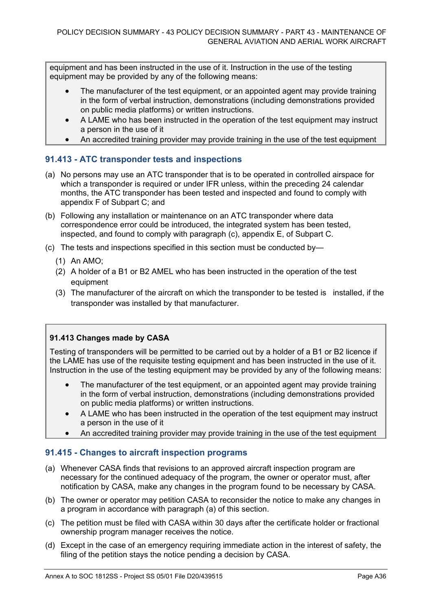equipment and has been instructed in the use of it. Instruction in the use of the testing equipment may be provided by any of the following means:

- The manufacturer of the test equipment, or an appointed agent may provide training in the form of verbal instruction, demonstrations (including demonstrations provided on public media platforms) or written instructions.
- A LAME who has been instructed in the operation of the test equipment may instruct a person in the use of it
- An accredited training provider may provide training in the use of the test equipment

## **91.413 - ATC transponder tests and inspections**

- (a) No persons may use an ATC transponder that is to be operated in controlled airspace for which a transponder is required or under IFR unless, within the preceding 24 calendar months, the ATC transponder has been tested and inspected and found to comply with appendix F of Subpart C; and
- (b) Following any installation or maintenance on an ATC transponder where data correspondence error could be introduced, the integrated system has been tested, inspected, and found to comply with paragraph (c), appendix E, of Subpart C.
- (c) The tests and inspections specified in this section must be conducted by—
	- (1) An AMO;
	- (2) A holder of a B1 or B2 AMEL who has been instructed in the operation of the test equipment
	- (3) The manufacturer of the aircraft on which the transponder to be tested is installed, if the transponder was installed by that manufacturer.

### **91.413 Changes made by CASA**

Testing of transponders will be permitted to be carried out by a holder of a B1 or B2 licence if the LAME has use of the requisite testing equipment and has been instructed in the use of it. Instruction in the use of the testing equipment may be provided by any of the following means:

- The manufacturer of the test equipment, or an appointed agent may provide training in the form of verbal instruction, demonstrations (including demonstrations provided on public media platforms) or written instructions.
- A LAME who has been instructed in the operation of the test equipment may instruct a person in the use of it
- An accredited training provider may provide training in the use of the test equipment

## **91.415 - Changes to aircraft inspection programs**

- (a) Whenever CASA finds that revisions to an approved aircraft inspection program are necessary for the continued adequacy of the program, the owner or operator must, after notification by CASA, make any changes in the program found to be necessary by CASA.
- (b) The owner or operator may petition CASA to reconsider the notice to make any changes in a program in accordance with paragraph (a) of this section.
- (c) The petition must be filed with CASA within 30 days after the certificate holder or fractional ownership program manager receives the notice.
- (d) Except in the case of an emergency requiring immediate action in the interest of safety, the filing of the petition stays the notice pending a decision by CASA.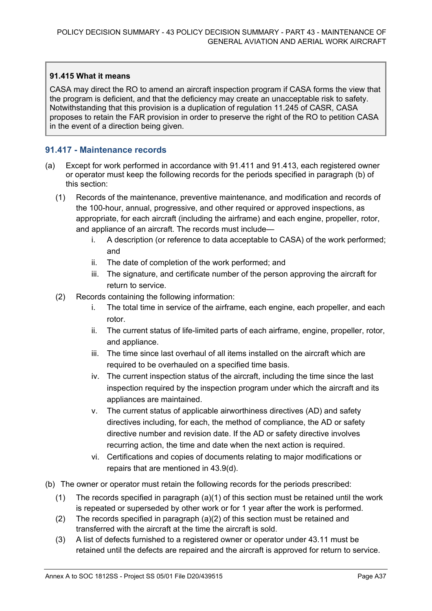#### **91.415 What it means**

CASA may direct the RO to amend an aircraft inspection program if CASA forms the view that the program is deficient, and that the deficiency may create an unacceptable risk to safety. Notwithstanding that this provision is a duplication of regulation 11.245 of CASR, CASA proposes to retain the FAR provision in order to preserve the right of the RO to petition CASA in the event of a direction being given.

#### **91.417 - Maintenance records**

- (a) Except for work performed in accordance with 91.411 and 91.413, each registered owner or operator must keep the following records for the periods specified in paragraph (b) of this section:
	- (1) Records of the maintenance, preventive maintenance, and modification and records of the 100-hour, annual, progressive, and other required or approved inspections, as appropriate, for each aircraft (including the airframe) and each engine, propeller, rotor, and appliance of an aircraft. The records must include
		- i. A description (or reference to data acceptable to CASA) of the work performed; and
		- ii. The date of completion of the work performed; and
		- iii. The signature, and certificate number of the person approving the aircraft for return to service.
	- (2) Records containing the following information:
		- i. The total time in service of the airframe, each engine, each propeller, and each rotor.
		- ii. The current status of life-limited parts of each airframe, engine, propeller, rotor, and appliance.
		- iii. The time since last overhaul of all items installed on the aircraft which are required to be overhauled on a specified time basis.
		- iv. The current inspection status of the aircraft, including the time since the last inspection required by the inspection program under which the aircraft and its appliances are maintained.
		- v. The current status of applicable airworthiness directives (AD) and safety directives including, for each, the method of compliance, the AD or safety directive number and revision date. If the AD or safety directive involves recurring action, the time and date when the next action is required.
		- vi. Certifications and copies of documents relating to major modifications or repairs that are mentioned in 43.9(d).
- (b) The owner or operator must retain the following records for the periods prescribed:
	- (1) The records specified in paragraph  $(a)(1)$  of this section must be retained until the work is repeated or superseded by other work or for 1 year after the work is performed.
	- (2) The records specified in paragraph (a)(2) of this section must be retained and transferred with the aircraft at the time the aircraft is sold.
	- (3) A list of defects furnished to a registered owner or operator under 43.11 must be retained until the defects are repaired and the aircraft is approved for return to service.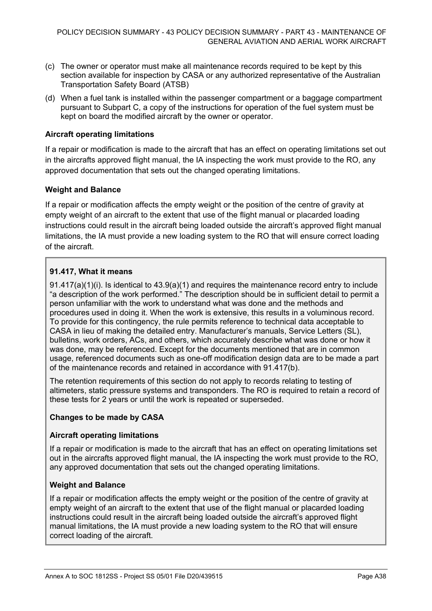- (c) The owner or operator must make all maintenance records required to be kept by this section available for inspection by CASA or any authorized representative of the Australian Transportation Safety Board (ATSB)
- (d) When a fuel tank is installed within the passenger compartment or a baggage compartment pursuant to Subpart C, a copy of the instructions for operation of the fuel system must be kept on board the modified aircraft by the owner or operator.

#### **Aircraft operating limitations**

If a repair or modification is made to the aircraft that has an effect on operating limitations set out in the aircrafts approved flight manual, the IA inspecting the work must provide to the RO, any approved documentation that sets out the changed operating limitations.

#### **Weight and Balance**

If a repair or modification affects the empty weight or the position of the centre of gravity at empty weight of an aircraft to the extent that use of the flight manual or placarded loading instructions could result in the aircraft being loaded outside the aircraft's approved flight manual limitations, the IA must provide a new loading system to the RO that will ensure correct loading of the aircraft.

#### **91.417, What it means**

91.417(a)(1)(i). Is identical to 43.9(a)(1) and requires the maintenance record entry to include "a description of the work performed." The description should be in sufficient detail to permit a person unfamiliar with the work to understand what was done and the methods and procedures used in doing it. When the work is extensive, this results in a voluminous record. To provide for this contingency, the rule permits reference to technical data acceptable to CASA in lieu of making the detailed entry. Manufacturer's manuals, Service Letters (SL), bulletins, work orders, ACs, and others, which accurately describe what was done or how it was done, may be referenced. Except for the documents mentioned that are in common usage, referenced documents such as one-off modification design data are to be made a part of the maintenance records and retained in accordance with 91.417(b).

The retention requirements of this section do not apply to records relating to testing of altimeters, static pressure systems and transponders. The RO is required to retain a record of these tests for 2 years or until the work is repeated or superseded.

#### **Changes to be made by CASA**

#### **Aircraft operating limitations**

If a repair or modification is made to the aircraft that has an effect on operating limitations set out in the aircrafts approved flight manual, the IA inspecting the work must provide to the RO, any approved documentation that sets out the changed operating limitations.

#### **Weight and Balance**

If a repair or modification affects the empty weight or the position of the centre of gravity at empty weight of an aircraft to the extent that use of the flight manual or placarded loading instructions could result in the aircraft being loaded outside the aircraft's approved flight manual limitations, the IA must provide a new loading system to the RO that will ensure correct loading of the aircraft.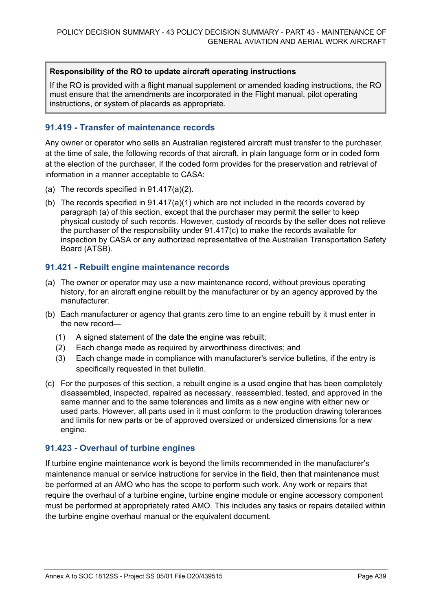#### **Responsibility of the RO to update aircraft operating instructions**

If the RO is provided with a flight manual supplement or amended loading instructions, the RO must ensure that the amendments are incorporated in the Flight manual, pilot operating instructions, or system of placards as appropriate.

#### **91.419 - Transfer of maintenance records**

Any owner or operator who sells an Australian registered aircraft must transfer to the purchaser, at the time of sale, the following records of that aircraft, in plain language form or in coded form at the election of the purchaser, if the coded form provides for the preservation and retrieval of information in a manner acceptable to CASA:

- (a) The records specified in 91.417(a)(2).
- (b) The records specified in 91.417(a)(1) which are not included in the records covered by paragraph (a) of this section, except that the purchaser may permit the seller to keep physical custody of such records. However, custody of records by the seller does not relieve the purchaser of the responsibility under 91.417(c) to make the records available for inspection by CASA or any authorized representative of the Australian Transportation Safety Board (ATSB).

#### **91.421 - Rebuilt engine maintenance records**

- (a) The owner or operator may use a new maintenance record, without previous operating history, for an aircraft engine rebuilt by the manufacturer or by an agency approved by the manufacturer.
- (b) Each manufacturer or agency that grants zero time to an engine rebuilt by it must enter in the new record—
	- (1) A signed statement of the date the engine was rebuilt;
	- (2) Each change made as required by airworthiness directives; and
	- (3) Each change made in compliance with manufacturer's service bulletins, if the entry is specifically requested in that bulletin.
- (c) For the purposes of this section, a rebuilt engine is a used engine that has been completely disassembled, inspected, repaired as necessary, reassembled, tested, and approved in the same manner and to the same tolerances and limits as a new engine with either new or used parts. However, all parts used in it must conform to the production drawing tolerances and limits for new parts or be of approved oversized or undersized dimensions for a new engine.

#### **91.423 - Overhaul of turbine engines**

If turbine engine maintenance work is beyond the limits recommended in the manufacturer's maintenance manual or service instructions for service in the field, then that maintenance must be performed at an AMO who has the scope to perform such work. Any work or repairs that require the overhaul of a turbine engine, turbine engine module or engine accessory component must be performed at appropriately rated AMO. This includes any tasks or repairs detailed within the turbine engine overhaul manual or the equivalent document.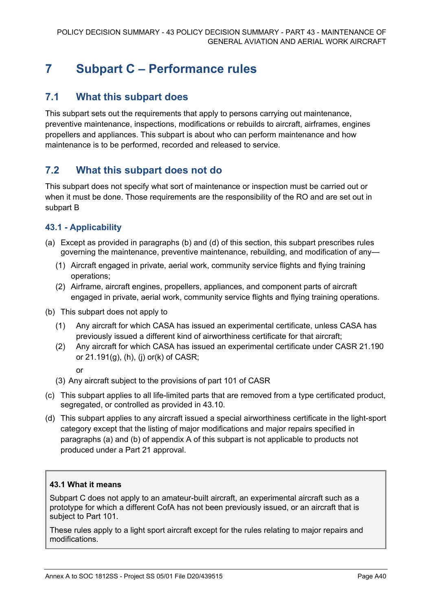## **7 Subpart C – Performance rules**

## **7.1 What this subpart does**

This subpart sets out the requirements that apply to persons carrying out maintenance, preventive maintenance, inspections, modifications or rebuilds to aircraft, airframes, engines propellers and appliances. This subpart is about who can perform maintenance and how maintenance is to be performed, recorded and released to service.

## **7.2 What this subpart does not do**

This subpart does not specify what sort of maintenance or inspection must be carried out or when it must be done. Those requirements are the responsibility of the RO and are set out in subpart B

## **43.1 - Applicability**

- (a) Except as provided in paragraphs (b) and (d) of this section, this subpart prescribes rules governing the maintenance, preventive maintenance, rebuilding, and modification of any—
	- (1) Aircraft engaged in private, aerial work, community service flights and flying training operations;
	- (2) Airframe, aircraft engines, propellers, appliances, and component parts of aircraft engaged in private, aerial work, community service flights and flying training operations.
- (b) This subpart does not apply to
	- (1) Any aircraft for which CASA has issued an experimental certificate, unless CASA has previously issued a different kind of airworthiness certificate for that aircraft;
	- (2) Any aircraft for which CASA has issued an experimental certificate under CASR 21.190 or 21.191(g), (h), (j) or(k) of CASR;
		- or
	- (3) Any aircraft subject to the provisions of part 101 of CASR
- (c) This subpart applies to all life-limited parts that are removed from a type certificated product, segregated, or controlled as provided in 43.10.
- (d) This subpart applies to any aircraft issued a special airworthiness certificate in the light-sport category except that the listing of major modifications and major repairs specified in paragraphs (a) and (b) of appendix A of this subpart is not applicable to products not produced under a Part 21 approval.

#### **43.1 What it means**

Subpart C does not apply to an amateur-built aircraft, an experimental aircraft such as a prototype for which a different CofA has not been previously issued, or an aircraft that is subject to Part 101.

These rules apply to a light sport aircraft except for the rules relating to major repairs and modifications.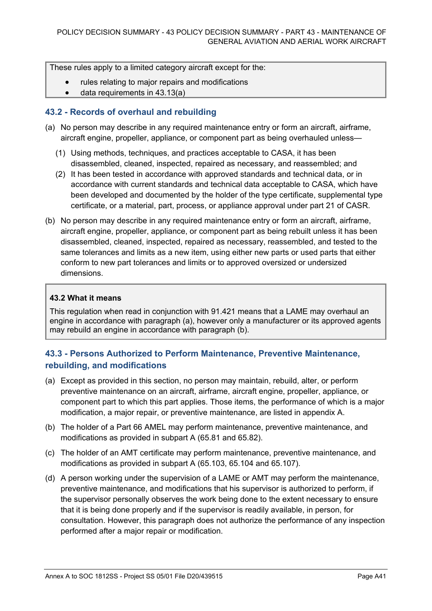These rules apply to a limited category aircraft except for the:

- rules relating to major repairs and modifications
- data requirements in 43.13(a)

#### **43.2 - Records of overhaul and rebuilding**

- (a) No person may describe in any required maintenance entry or form an aircraft, airframe, aircraft engine, propeller, appliance, or component part as being overhauled unless—
	- (1) Using methods, techniques, and practices acceptable to CASA, it has been disassembled, cleaned, inspected, repaired as necessary, and reassembled; and
	- (2) It has been tested in accordance with approved standards and technical data, or in accordance with current standards and technical data acceptable to CASA, which have been developed and documented by the holder of the type certificate, supplemental type certificate, or a material, part, process, or appliance approval under part 21 of CASR.
- (b) No person may describe in any required maintenance entry or form an aircraft, airframe, aircraft engine, propeller, appliance, or component part as being rebuilt unless it has been disassembled, cleaned, inspected, repaired as necessary, reassembled, and tested to the same tolerances and limits as a new item, using either new parts or used parts that either conform to new part tolerances and limits or to approved oversized or undersized dimensions.

#### **43.2 What it means**

This regulation when read in conjunction with 91.421 means that a LAME may overhaul an engine in accordance with paragraph (a), however only a manufacturer or its approved agents may rebuild an engine in accordance with paragraph (b).

## **43.3 - Persons Authorized to Perform Maintenance, Preventive Maintenance, rebuilding, and modifications**

- (a) Except as provided in this section, no person may maintain, rebuild, alter, or perform preventive maintenance on an aircraft, airframe, aircraft engine, propeller, appliance, or component part to which this part applies. Those items, the performance of which is a major modification, a major repair, or preventive maintenance, are listed in appendix A.
- (b) The holder of a Part 66 AMEL may perform maintenance, preventive maintenance, and modifications as provided in subpart A (65.81 and 65.82).
- (c) The holder of an AMT certificate may perform maintenance, preventive maintenance, and modifications as provided in subpart A (65.103, 65.104 and 65.107).
- (d) A person working under the supervision of a LAME or AMT may perform the maintenance, preventive maintenance, and modifications that his supervisor is authorized to perform, if the supervisor personally observes the work being done to the extent necessary to ensure that it is being done properly and if the supervisor is readily available, in person, for consultation. However, this paragraph does not authorize the performance of any inspection performed after a major repair or modification.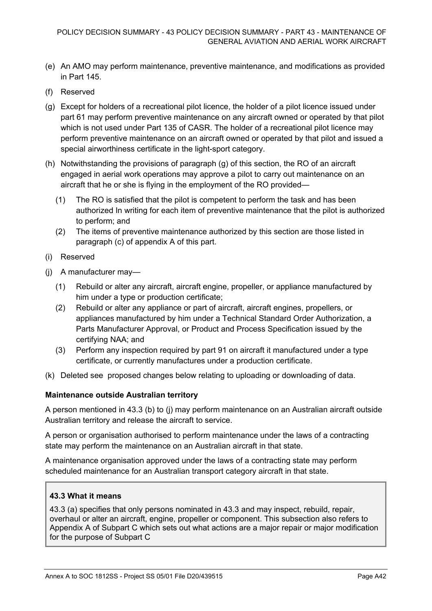- (e) An AMO may perform maintenance, preventive maintenance, and modifications as provided in Part 145.
- (f) Reserved
- (g) Except for holders of a recreational pilot licence, the holder of a pilot licence issued under part 61 may perform preventive maintenance on any aircraft owned or operated by that pilot which is not used under Part 135 of CASR. The holder of a recreational pilot licence may perform preventive maintenance on an aircraft owned or operated by that pilot and issued a special airworthiness certificate in the light-sport category.
- (h) Notwithstanding the provisions of paragraph (g) of this section, the RO of an aircraft engaged in aerial work operations may approve a pilot to carry out maintenance on an aircraft that he or she is flying in the employment of the RO provided—
	- (1) The RO is satisfied that the pilot is competent to perform the task and has been authorized In writing for each item of preventive maintenance that the pilot is authorized to perform; and
	- (2) The items of preventive maintenance authorized by this section are those listed in paragraph (c) of appendix A of this part.
- (i) Reserved
- (j) A manufacturer may—
	- (1) Rebuild or alter any aircraft, aircraft engine, propeller, or appliance manufactured by him under a type or production certificate;
	- (2) Rebuild or alter any appliance or part of aircraft, aircraft engines, propellers, or appliances manufactured by him under a Technical Standard Order Authorization, a Parts Manufacturer Approval, or Product and Process Specification issued by the certifying NAA; and
	- (3) Perform any inspection required by part 91 on aircraft it manufactured under a type certificate, or currently manufactures under a production certificate.
- (k) Deleted see proposed changes below relating to uploading or downloading of data.

#### **Maintenance outside Australian territory**

A person mentioned in 43.3 (b) to (j) may perform maintenance on an Australian aircraft outside Australian territory and release the aircraft to service.

A person or organisation authorised to perform maintenance under the laws of a contracting state may perform the maintenance on an Australian aircraft in that state.

A maintenance organisation approved under the laws of a contracting state may perform scheduled maintenance for an Australian transport category aircraft in that state.

#### **43.3 What it means**

43.3 (a) specifies that only persons nominated in 43.3 and may inspect, rebuild, repair, overhaul or alter an aircraft, engine, propeller or component. This subsection also refers to Appendix A of Subpart C which sets out what actions are a major repair or major modification for the purpose of Subpart C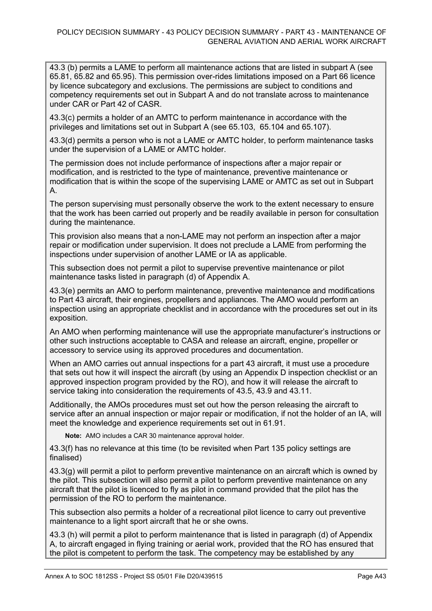43.3 (b) permits a LAME to perform all maintenance actions that are listed in subpart A (see 65.81, 65.82 and 65.95). This permission over-rides limitations imposed on a Part 66 licence by licence subcategory and exclusions. The permissions are subject to conditions and competency requirements set out in Subpart A and do not translate across to maintenance under CAR or Part 42 of CASR.

43.3(c) permits a holder of an AMTC to perform maintenance in accordance with the privileges and limitations set out in Subpart A (see 65.103, 65.104 and 65.107).

43.3(d) permits a person who is not a LAME or AMTC holder, to perform maintenance tasks under the supervision of a LAME or AMTC holder.

The permission does not include performance of inspections after a major repair or modification, and is restricted to the type of maintenance, preventive maintenance or modification that is within the scope of the supervising LAME or AMTC as set out in Subpart A.

The person supervising must personally observe the work to the extent necessary to ensure that the work has been carried out properly and be readily available in person for consultation during the maintenance.

This provision also means that a non-LAME may not perform an inspection after a major repair or modification under supervision. It does not preclude a LAME from performing the inspections under supervision of another LAME or IA as applicable.

This subsection does not permit a pilot to supervise preventive maintenance or pilot maintenance tasks listed in paragraph (d) of Appendix A.

43.3(e) permits an AMO to perform maintenance, preventive maintenance and modifications to Part 43 aircraft, their engines, propellers and appliances. The AMO would perform an inspection using an appropriate checklist and in accordance with the procedures set out in its exposition.

An AMO when performing maintenance will use the appropriate manufacturer's instructions or other such instructions acceptable to CASA and release an aircraft, engine, propeller or accessory to service using its approved procedures and documentation.

When an AMO carries out annual inspections for a part 43 aircraft, it must use a procedure that sets out how it will inspect the aircraft (by using an Appendix D inspection checklist or an approved inspection program provided by the RO), and how it will release the aircraft to service taking into consideration the requirements of 43.5, 43.9 and 43.11.

Additionally, the AMOs procedures must set out how the person releasing the aircraft to service after an annual inspection or major repair or modification, if not the holder of an IA, will meet the knowledge and experience requirements set out in 61.91.

**Note:** AMO includes a CAR 30 maintenance approval holder.

43.3(f) has no relevance at this time (to be revisited when Part 135 policy settings are finalised)

43.3(g) will permit a pilot to perform preventive maintenance on an aircraft which is owned by the pilot. This subsection will also permit a pilot to perform preventive maintenance on any aircraft that the pilot is licenced to fly as pilot in command provided that the pilot has the permission of the RO to perform the maintenance.

This subsection also permits a holder of a recreational pilot licence to carry out preventive maintenance to a light sport aircraft that he or she owns.

43.3 (h) will permit a pilot to perform maintenance that is listed in paragraph (d) of Appendix A, to aircraft engaged in flying training or aerial work, provided that the RO has ensured that the pilot is competent to perform the task. The competency may be established by any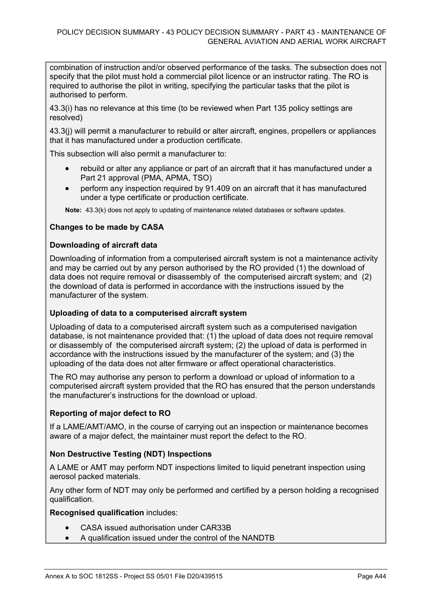combination of instruction and/or observed performance of the tasks. The subsection does not specify that the pilot must hold a commercial pilot licence or an instructor rating. The RO is required to authorise the pilot in writing, specifying the particular tasks that the pilot is authorised to perform.

43.3(i) has no relevance at this time (to be reviewed when Part 135 policy settings are resolved)

43.3(j) will permit a manufacturer to rebuild or alter aircraft, engines, propellers or appliances that it has manufactured under a production certificate.

This subsection will also permit a manufacturer to:

- rebuild or alter any appliance or part of an aircraft that it has manufactured under a Part 21 approval (PMA, APMA, TSO)
- perform any inspection required by 91.409 on an aircraft that it has manufactured under a type certificate or production certificate.

**Note:** 43.3(k) does not apply to updating of maintenance related databases or software updates.

#### **Changes to be made by CASA**

#### **Downloading of aircraft data**

Downloading of information from a computerised aircraft system is not a maintenance activity and may be carried out by any person authorised by the RO provided (1) the download of data does not require removal or disassembly of the computerised aircraft system; and (2) the download of data is performed in accordance with the instructions issued by the manufacturer of the system.

#### **Uploading of data to a computerised aircraft system**

Uploading of data to a computerised aircraft system such as a computerised navigation database, is not maintenance provided that: (1) the upload of data does not require removal or disassembly of the computerised aircraft system; (2) the upload of data is performed in accordance with the instructions issued by the manufacturer of the system; and (3) the uploading of the data does not alter firmware or affect operational characteristics.

The RO may authorise any person to perform a download or upload of information to a computerised aircraft system provided that the RO has ensured that the person understands the manufacturer's instructions for the download or upload.

#### **Reporting of major defect to RO**

If a LAME/AMT/AMO, in the course of carrying out an inspection or maintenance becomes aware of a major defect, the maintainer must report the defect to the RO.

#### **Non Destructive Testing (NDT) Inspections**

A LAME or AMT may perform NDT inspections limited to liquid penetrant inspection using aerosol packed materials.

Any other form of NDT may only be performed and certified by a person holding a recognised qualification.

**Recognised qualification** includes:

- CASA issued authorisation under CAR33B
- A qualification issued under the control of the NANDTB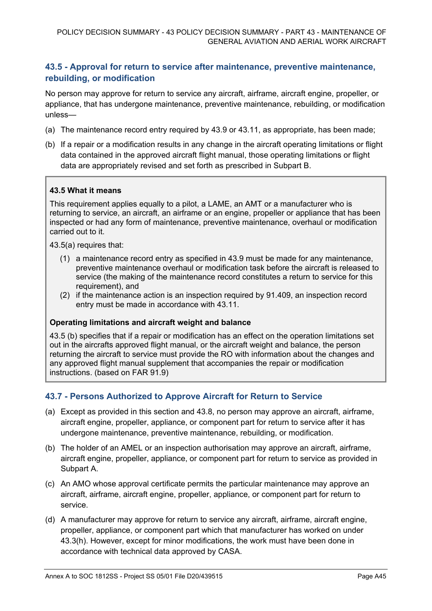## **43.5 - Approval for return to service after maintenance, preventive maintenance, rebuilding, or modification**

No person may approve for return to service any aircraft, airframe, aircraft engine, propeller, or appliance, that has undergone maintenance, preventive maintenance, rebuilding, or modification unless—

- (a) The maintenance record entry required by 43.9 or 43.11, as appropriate, has been made;
- (b) If a repair or a modification results in any change in the aircraft operating limitations or flight data contained in the approved aircraft flight manual, those operating limitations or flight data are appropriately revised and set forth as prescribed in Subpart B.

#### **43.5 What it means**

This requirement applies equally to a pilot, a LAME, an AMT or a manufacturer who is returning to service, an aircraft, an airframe or an engine, propeller or appliance that has been inspected or had any form of maintenance, preventive maintenance, overhaul or modification carried out to it.

43.5(a) requires that:

- (1) a maintenance record entry as specified in 43.9 must be made for any maintenance, preventive maintenance overhaul or modification task before the aircraft is released to service (the making of the maintenance record constitutes a return to service for this requirement), and
- (2) if the maintenance action is an inspection required by 91.409, an inspection record entry must be made in accordance with 43.11.

#### **Operating limitations and aircraft weight and balance**

43.5 (b) specifies that if a repair or modification has an effect on the operation limitations set out in the aircrafts approved flight manual, or the aircraft weight and balance, the person returning the aircraft to service must provide the RO with information about the changes and any approved flight manual supplement that accompanies the repair or modification instructions. (based on FAR 91.9)

#### **43.7 - Persons Authorized to Approve Aircraft for Return to Service**

- (a) Except as provided in this section and 43.8, no person may approve an aircraft, airframe, aircraft engine, propeller, appliance, or component part for return to service after it has undergone maintenance, preventive maintenance, rebuilding, or modification.
- (b) The holder of an AMEL or an inspection authorisation may approve an aircraft, airframe, aircraft engine, propeller, appliance, or component part for return to service as provided in Subpart A.
- (c) An AMO whose approval certificate permits the particular maintenance may approve an aircraft, airframe, aircraft engine, propeller, appliance, or component part for return to service.
- (d) A manufacturer may approve for return to service any aircraft, airframe, aircraft engine, propeller, appliance, or component part which that manufacturer has worked on under 43.3(h). However, except for minor modifications, the work must have been done in accordance with technical data approved by CASA.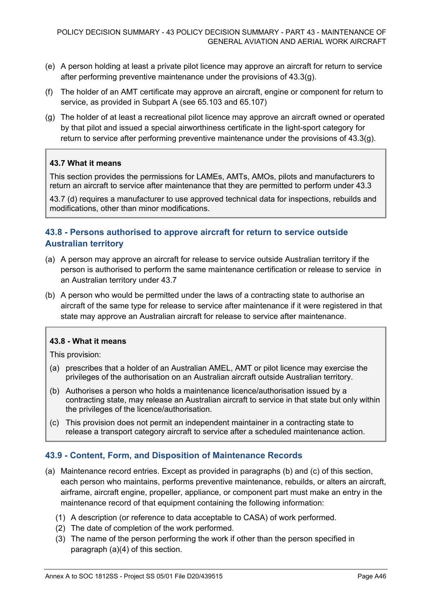- (e) A person holding at least a private pilot licence may approve an aircraft for return to service after performing preventive maintenance under the provisions of 43.3(g).
- (f) The holder of an AMT certificate may approve an aircraft, engine or component for return to service, as provided in Subpart A (see 65.103 and 65.107)
- (g) The holder of at least a recreational pilot licence may approve an aircraft owned or operated by that pilot and issued a special airworthiness certificate in the light-sport category for return to service after performing preventive maintenance under the provisions of 43.3(g).

#### **43.7 What it means**

This section provides the permissions for LAMEs, AMTs, AMOs, pilots and manufacturers to return an aircraft to service after maintenance that they are permitted to perform under 43.3

43.7 (d) requires a manufacturer to use approved technical data for inspections, rebuilds and modifications, other than minor modifications.

## **43.8 - Persons authorised to approve aircraft for return to service outside Australian territory**

- (a) A person may approve an aircraft for release to service outside Australian territory if the person is authorised to perform the same maintenance certification or release to service in an Australian territory under 43.7
- (b) A person who would be permitted under the laws of a contracting state to authorise an aircraft of the same type for release to service after maintenance if it were registered in that state may approve an Australian aircraft for release to service after maintenance.

#### **43.8 - What it means**

This provision:

- (a) prescribes that a holder of an Australian AMEL, AMT or pilot licence may exercise the privileges of the authorisation on an Australian aircraft outside Australian territory.
- (b) Authorises a person who holds a maintenance licence/authorisation issued by a contracting state, may release an Australian aircraft to service in that state but only within the privileges of the licence/authorisation.
- (c) This provision does not permit an independent maintainer in a contracting state to release a transport category aircraft to service after a scheduled maintenance action.

#### **43.9 - Content, Form, and Disposition of Maintenance Records**

- (a) Maintenance record entries. Except as provided in paragraphs (b) and (c) of this section, each person who maintains, performs preventive maintenance, rebuilds, or alters an aircraft, airframe, aircraft engine, propeller, appliance, or component part must make an entry in the maintenance record of that equipment containing the following information:
	- (1) A description (or reference to data acceptable to CASA) of work performed.
	- (2) The date of completion of the work performed.
	- (3) The name of the person performing the work if other than the person specified in paragraph (a)(4) of this section.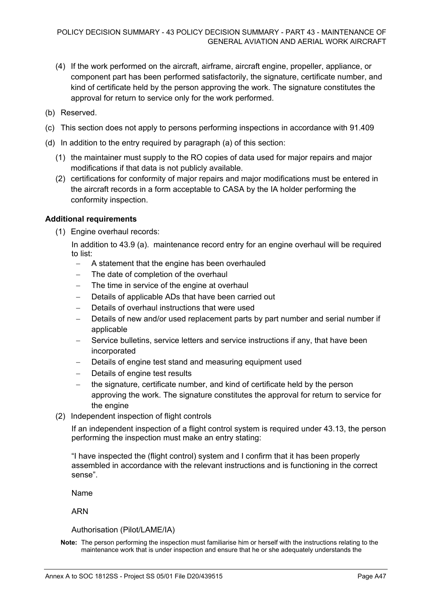- (4) If the work performed on the aircraft, airframe, aircraft engine, propeller, appliance, or component part has been performed satisfactorily, the signature, certificate number, and kind of certificate held by the person approving the work. The signature constitutes the approval for return to service only for the work performed.
- (b) Reserved.
- (c) This section does not apply to persons performing inspections in accordance with 91.409
- (d) In addition to the entry required by paragraph (a) of this section:
	- (1) the maintainer must supply to the RO copies of data used for major repairs and major modifications if that data is not publicly available.
	- (2) certifications for conformity of major repairs and major modifications must be entered in the aircraft records in a form acceptable to CASA by the IA holder performing the conformity inspection.

#### **Additional requirements**

(1) Engine overhaul records:

In addition to 43.9 (a). maintenance record entry for an engine overhaul will be required to list:

- − A statement that the engine has been overhauled
- − The date of completion of the overhaul
- The time in service of the engine at overhaul
- − Details of applicable ADs that have been carried out
- Details of overhaul instructions that were used
- Details of new and/or used replacement parts by part number and serial number if applicable
- Service bulletins, service letters and service instructions if any, that have been incorporated
- Details of engine test stand and measuring equipment used
- Details of engine test results
- − the signature, certificate number, and kind of certificate held by the person approving the work. The signature constitutes the approval for return to service for the engine
- (2) Independent inspection of flight controls

If an independent inspection of a flight control system is required under 43.13, the person performing the inspection must make an entry stating:

"I have inspected the (flight control) system and I confirm that it has been properly assembled in accordance with the relevant instructions and is functioning in the correct sense".

Name

ARN

Authorisation (Pilot/LAME/IA)

**Note:** The person performing the inspection must familiarise him or herself with the instructions relating to the maintenance work that is under inspection and ensure that he or she adequately understands the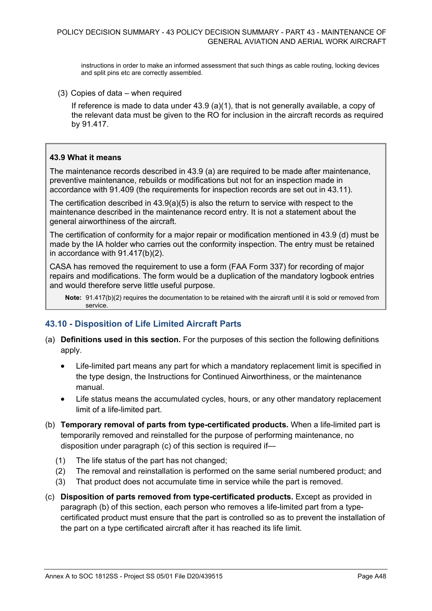instructions in order to make an informed assessment that such things as cable routing, locking devices and split pins etc are correctly assembled.

(3) Copies of data – when required

If reference is made to data under  $43.9$  (a)(1), that is not generally available, a copy of the relevant data must be given to the RO for inclusion in the aircraft records as required by 91.417.

#### **43.9 What it means**

The maintenance records described in 43.9 (a) are required to be made after maintenance, preventive maintenance, rebuilds or modifications but not for an inspection made in accordance with 91.409 (the requirements for inspection records are set out in 43.11).

The certification described in 43.9(a)(5) is also the return to service with respect to the maintenance described in the maintenance record entry. It is not a statement about the general airworthiness of the aircraft.

The certification of conformity for a major repair or modification mentioned in 43.9 (d) must be made by the IA holder who carries out the conformity inspection. The entry must be retained in accordance with 91.417(b)(2).

CASA has removed the requirement to use a form (FAA Form 337) for recording of major repairs and modifications. The form would be a duplication of the mandatory logbook entries and would therefore serve little useful purpose.

**Note:** 91.417(b)(2) requires the documentation to be retained with the aircraft until it is sold or removed from service.

#### **43.10 - Disposition of Life Limited Aircraft Parts**

- (a) **Definitions used in this section.** For the purposes of this section the following definitions apply.
	- Life-limited part means any part for which a mandatory replacement limit is specified in the type design, the Instructions for Continued Airworthiness, or the maintenance manual.
	- Life status means the accumulated cycles, hours, or any other mandatory replacement limit of a life-limited part.
- (b) **Temporary removal of parts from type-certificated products.** When a life-limited part is temporarily removed and reinstalled for the purpose of performing maintenance, no disposition under paragraph (c) of this section is required if—
	- (1) The life status of the part has not changed;
	- (2) The removal and reinstallation is performed on the same serial numbered product; and
	- (3) That product does not accumulate time in service while the part is removed.
- (c) **Disposition of parts removed from type-certificated products.** Except as provided in paragraph (b) of this section, each person who removes a life-limited part from a typecertificated product must ensure that the part is controlled so as to prevent the installation of the part on a type certificated aircraft after it has reached its life limit.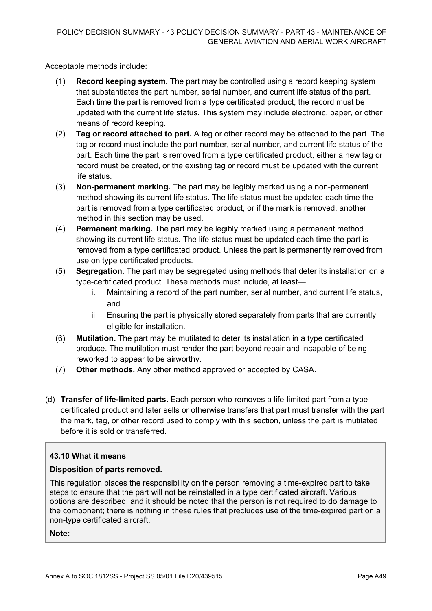Acceptable methods include:

- (1) **Record keeping system.** The part may be controlled using a record keeping system that substantiates the part number, serial number, and current life status of the part. Each time the part is removed from a type certificated product, the record must be updated with the current life status. This system may include electronic, paper, or other means of record keeping.
- (2) **Tag or record attached to part.** A tag or other record may be attached to the part. The tag or record must include the part number, serial number, and current life status of the part. Each time the part is removed from a type certificated product, either a new tag or record must be created, or the existing tag or record must be updated with the current life status.
- (3) **Non-permanent marking.** The part may be legibly marked using a non-permanent method showing its current life status. The life status must be updated each time the part is removed from a type certificated product, or if the mark is removed, another method in this section may be used.
- (4) **Permanent marking.** The part may be legibly marked using a permanent method showing its current life status. The life status must be updated each time the part is removed from a type certificated product. Unless the part is permanently removed from use on type certificated products.
- (5) **Segregation.** The part may be segregated using methods that deter its installation on a type-certificated product. These methods must include, at least
	- i. Maintaining a record of the part number, serial number, and current life status, and
	- ii. Ensuring the part is physically stored separately from parts that are currently eligible for installation.
- (6) **Mutilation.** The part may be mutilated to deter its installation in a type certificated produce. The mutilation must render the part beyond repair and incapable of being reworked to appear to be airworthy.
- (7) **Other methods.** Any other method approved or accepted by CASA.
- (d) **Transfer of life-limited parts.** Each person who removes a life-limited part from a type certificated product and later sells or otherwise transfers that part must transfer with the part the mark, tag, or other record used to comply with this section, unless the part is mutilated before it is sold or transferred.

#### **43.10 What it means**

#### **Disposition of parts removed.**

This regulation places the responsibility on the person removing a time-expired part to take steps to ensure that the part will not be reinstalled in a type certificated aircraft. Various options are described, and it should be noted that the person is not required to do damage to the component; there is nothing in these rules that precludes use of the time-expired part on a non-type certificated aircraft.

**Note:**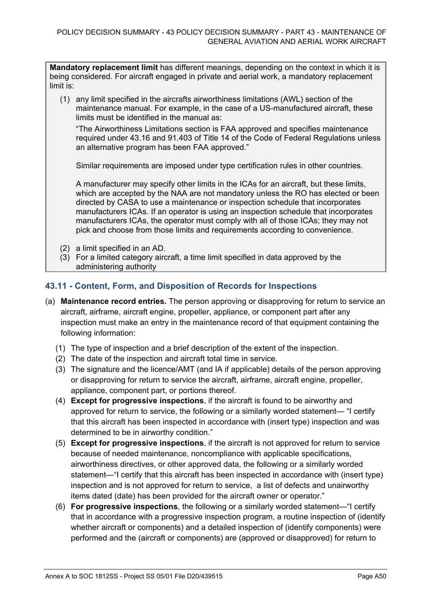**Mandatory replacement limit** has different meanings, depending on the context in which it is being considered. For aircraft engaged in private and aerial work, a mandatory replacement limit is:

(1) any limit specified in the aircrafts airworthiness limitations (AWL) section of the maintenance manual. For example, in the case of a US-manufactured aircraft, these limits must be identified in the manual as:

"The Airworthiness Limitations section is FAA approved and specifies maintenance required under 43.16 and 91.403 of Title 14 of the Code of Federal Regulations unless an alternative program has been FAA approved."

Similar requirements are imposed under type certification rules in other countries.

A manufacturer may specify other limits in the ICAs for an aircraft, but these limits, which are accepted by the NAA are not mandatory unless the RO has elected or been directed by CASA to use a maintenance or inspection schedule that incorporates manufacturers ICAs. If an operator is using an inspection schedule that incorporates manufacturers ICAs, the operator must comply with all of those ICAs; they may not pick and choose from those limits and requirements according to convenience.

- (2) a limit specified in an AD.
- (3) For a limited category aircraft, a time limit specified in data approved by the administering authority

### **43.11 - Content, Form, and Disposition of Records for Inspections**

- (a) **Maintenance record entries.** The person approving or disapproving for return to service an aircraft, airframe, aircraft engine, propeller, appliance, or component part after any inspection must make an entry in the maintenance record of that equipment containing the following information:
	- (1) The type of inspection and a brief description of the extent of the inspection.
	- (2) The date of the inspection and aircraft total time in service.
	- (3) The signature and the licence/AMT (and IA if applicable) details of the person approving or disapproving for return to service the aircraft, airframe, aircraft engine, propeller, appliance, component part, or portions thereof.
	- (4) **Except for progressive inspections**, if the aircraft is found to be airworthy and approved for return to service, the following or a similarly worded statement— "I certify that this aircraft has been inspected in accordance with (insert type) inspection and was determined to be in airworthy condition."
	- (5) **Except for progressive inspections**, if the aircraft is not approved for return to service because of needed maintenance, noncompliance with applicable specifications, airworthiness directives, or other approved data, the following or a similarly worded statement—"I certify that this aircraft has been inspected in accordance with (insert type) inspection and is not approved for return to service, a list of defects and unairworthy items dated (date) has been provided for the aircraft owner or operator."
	- (6) **For progressive inspections**, the following or a similarly worded statement—"I certify that in accordance with a progressive inspection program, a routine inspection of (identify whether aircraft or components) and a detailed inspection of (identify components) were performed and the (aircraft or components) are (approved or disapproved) for return to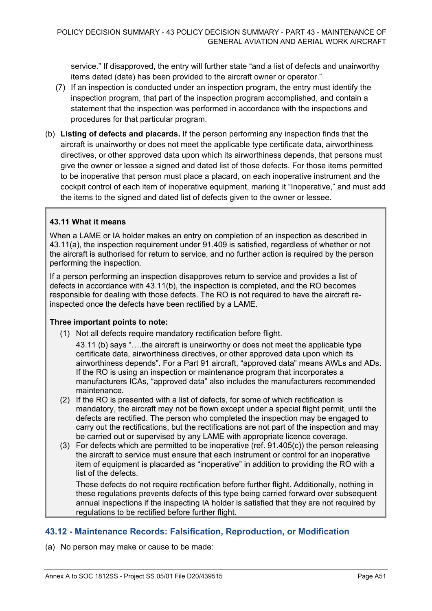service." If disapproved, the entry will further state "and a list of defects and unairworthy items dated (date) has been provided to the aircraft owner or operator."

- (7) If an inspection is conducted under an inspection program, the entry must identify the inspection program, that part of the inspection program accomplished, and contain a statement that the inspection was performed in accordance with the inspections and procedures for that particular program.
- (b) **Listing of defects and placards.** If the person performing any inspection finds that the aircraft is unairworthy or does not meet the applicable type certificate data, airworthiness directives, or other approved data upon which its airworthiness depends, that persons must give the owner or lessee a signed and dated list of those defects. For those items permitted to be inoperative that person must place a placard, on each inoperative instrument and the cockpit control of each item of inoperative equipment, marking it "Inoperative," and must add the items to the signed and dated list of defects given to the owner or lessee.

#### **43.11 What it means**

When a LAME or IA holder makes an entry on completion of an inspection as described in 43.11(a), the inspection requirement under 91.409 is satisfied, regardless of whether or not the aircraft is authorised for return to service, and no further action is required by the person performing the inspection.

If a person performing an inspection disapproves return to service and provides a list of defects in accordance with 43.11(b), the inspection is completed, and the RO becomes responsible for dealing with those defects. The RO is not required to have the aircraft reinspected once the defects have been rectified by a LAME.

#### **Three important points to note:**

- (1) Not all defects require mandatory rectification before flight.
	- 43.11 (b) says "….the aircraft is unairworthy or does not meet the applicable type certificate data, airworthiness directives, or other approved data upon which its airworthiness depends". For a Part 91 aircraft, "approved data" means AWLs and ADs. If the RO is using an inspection or maintenance program that incorporates a manufacturers ICAs, "approved data" also includes the manufacturers recommended maintenance.
- (2) If the RO is presented with a list of defects, for some of which rectification is mandatory, the aircraft may not be flown except under a special flight permit, until the defects are rectified. The person who completed the inspection may be engaged to carry out the rectifications, but the rectifications are not part of the inspection and may be carried out or supervised by any LAME with appropriate licence coverage.
- (3) For defects which are permitted to be inoperative (ref. 91.405(c)) the person releasing the aircraft to service must ensure that each instrument or control for an inoperative item of equipment is placarded as "inoperative" in addition to providing the RO with a list of the defects.

These defects do not require rectification before further flight. Additionally, nothing in these regulations prevents defects of this type being carried forward over subsequent annual inspections if the inspecting IA holder is satisfied that they are not required by regulations to be rectified before further flight.

#### **43.12 - Maintenance Records: Falsification, Reproduction, or Modification**

(a) No person may make or cause to be made: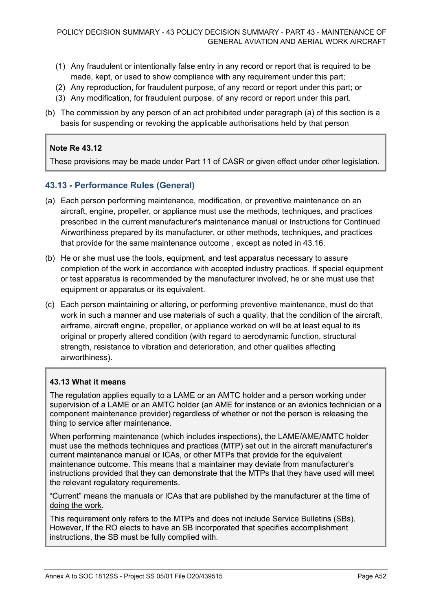- (1) Any fraudulent or intentionally false entry in any record or report that is required to be made, kept, or used to show compliance with any requirement under this part;
- (2) Any reproduction, for fraudulent purpose, of any record or report under this part; or
- (3) Any modification, for fraudulent purpose, of any record or report under this part.
- (b) The commission by any person of an act prohibited under paragraph (a) of this section is a basis for suspending or revoking the applicable authorisations held by that person

#### **Note Re 43.12**

These provisions may be made under Part 11 of CASR or given effect under other legislation.

#### **43.13 - Performance Rules (General)**

- (a) Each person performing maintenance, modification, or preventive maintenance on an aircraft, engine, propeller, or appliance must use the methods, techniques, and practices prescribed in the current manufacturer's maintenance manual or Instructions for Continued Airworthiness prepared by its manufacturer, or other methods, techniques, and practices that provide for the same maintenance outcome , except as noted in 43.16.
- (b) He or she must use the tools, equipment, and test apparatus necessary to assure completion of the work in accordance with accepted industry practices. If special equipment or test apparatus is recommended by the manufacturer involved, he or she must use that equipment or apparatus or its equivalent.
- (c) Each person maintaining or altering, or performing preventive maintenance, must do that work in such a manner and use materials of such a quality, that the condition of the aircraft, airframe, aircraft engine, propeller, or appliance worked on will be at least equal to its original or properly altered condition (with regard to aerodynamic function, structural strength, resistance to vibration and deterioration, and other qualities affecting airworthiness).

#### **43.13 What it means**

The regulation applies equally to a LAME or an AMTC holder and a person working under supervision of a LAME or an AMTC holder (an AME for instance or an avionics technician or a component maintenance provider) regardless of whether or not the person is releasing the thing to service after maintenance.

When performing maintenance (which includes inspections), the LAME/AME/AMTC holder must use the methods techniques and practices (MTP) set out in the aircraft manufacturer's current maintenance manual or ICAs, or other MTPs that provide for the equivalent maintenance outcome. This means that a maintainer may deviate from manufacturer's instructions provided that they can demonstrate that the MTPs that they have used will meet the relevant regulatory requirements.

"Current" means the manuals or ICAs that are published by the manufacturer at the time of doing the work.

This requirement only refers to the MTPs and does not include Service Bulletins (SBs). However, If the RO elects to have an SB incorporated that specifies accomplishment instructions, the SB must be fully complied with.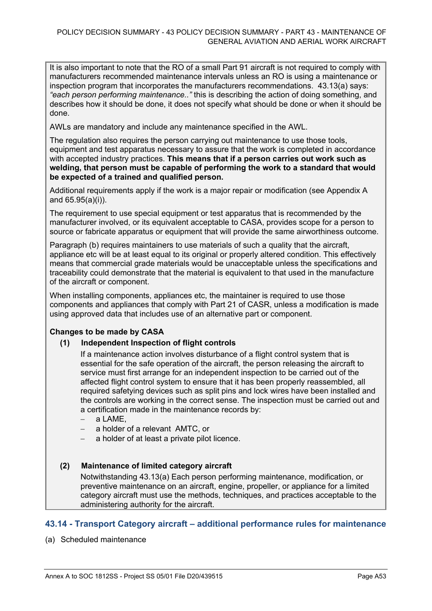It is also important to note that the RO of a small Part 91 aircraft is not required to comply with manufacturers recommended maintenance intervals unless an RO is using a maintenance or inspection program that incorporates the manufacturers recommendations. 43.13(a) says: *"each person performing maintenance.."* this is describing the action of doing something, and describes how it should be done, it does not specify what should be done or when it should be done.

AWLs are mandatory and include any maintenance specified in the AWL.

The regulation also requires the person carrying out maintenance to use those tools, equipment and test apparatus necessary to assure that the work is completed in accordance with accepted industry practices. **This means that if a person carries out work such as welding, that person must be capable of performing the work to a standard that would be expected of a trained and qualified person.**

Additional requirements apply if the work is a major repair or modification (see Appendix A and 65.95(a)(i)).

The requirement to use special equipment or test apparatus that is recommended by the manufacturer involved, or its equivalent acceptable to CASA, provides scope for a person to source or fabricate apparatus or equipment that will provide the same airworthiness outcome.

Paragraph (b) requires maintainers to use materials of such a quality that the aircraft, appliance etc will be at least equal to its original or properly altered condition. This effectively means that commercial grade materials would be unacceptable unless the specifications and traceability could demonstrate that the material is equivalent to that used in the manufacture of the aircraft or component.

When installing components, appliances etc, the maintainer is required to use those components and appliances that comply with Part 21 of CASR, unless a modification is made using approved data that includes use of an alternative part or component.

#### **Changes to be made by CASA**

#### **(1) Independent Inspection of flight controls**

If a maintenance action involves disturbance of a flight control system that is essential for the safe operation of the aircraft, the person releasing the aircraft to service must first arrange for an independent inspection to be carried out of the affected flight control system to ensure that it has been properly reassembled, all required safetying devices such as split pins and lock wires have been installed and the controls are working in the correct sense. The inspection must be carried out and a certification made in the maintenance records by:

- a LAME.
- a holder of a relevant AMTC, or
- a holder of at least a private pilot licence.

#### **(2) Maintenance of limited category aircraft**

Notwithstanding 43.13(a) Each person performing maintenance, modification, or preventive maintenance on an aircraft, engine, propeller, or appliance for a limited category aircraft must use the methods, techniques, and practices acceptable to the administering authority for the aircraft.

#### **43.14 - Transport Category aircraft – additional performance rules for maintenance**

(a) Scheduled maintenance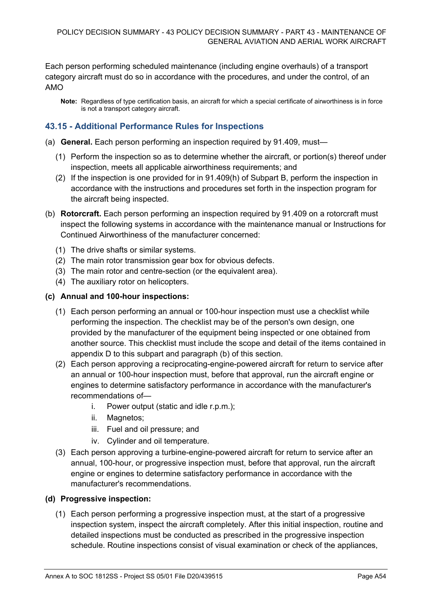Each person performing scheduled maintenance (including engine overhauls) of a transport category aircraft must do so in accordance with the procedures, and under the control, of an AMO

**Note:** Regardless of type certification basis, an aircraft for which a special certificate of airworthiness is in force is not a transport category aircraft.

### **43.15 - Additional Performance Rules for Inspections**

- (a) **General.** Each person performing an inspection required by 91.409, must—
	- (1) Perform the inspection so as to determine whether the aircraft, or portion(s) thereof under inspection, meets all applicable airworthiness requirements; and
	- (2) If the inspection is one provided for in 91.409(h) of Subpart B, perform the inspection in accordance with the instructions and procedures set forth in the inspection program for the aircraft being inspected.
- (b) **Rotorcraft.** Each person performing an inspection required by 91.409 on a rotorcraft must inspect the following systems in accordance with the maintenance manual or Instructions for Continued Airworthiness of the manufacturer concerned:
	- (1) The drive shafts or similar systems.
	- (2) The main rotor transmission gear box for obvious defects.
	- (3) The main rotor and centre-section (or the equivalent area).
	- (4) The auxiliary rotor on helicopters.

#### **(c) Annual and 100-hour inspections:**

- (1) Each person performing an annual or 100-hour inspection must use a checklist while performing the inspection. The checklist may be of the person's own design, one provided by the manufacturer of the equipment being inspected or one obtained from another source. This checklist must include the scope and detail of the items contained in appendix D to this subpart and paragraph (b) of this section.
- (2) Each person approving a reciprocating-engine-powered aircraft for return to service after an annual or 100-hour inspection must, before that approval, run the aircraft engine or engines to determine satisfactory performance in accordance with the manufacturer's recommendations of
	- i. Power output (static and idle r.p.m.);
	- ii. Magnetos;
	- iii. Fuel and oil pressure; and
	- iv. Cylinder and oil temperature.
- (3) Each person approving a turbine-engine-powered aircraft for return to service after an annual, 100-hour, or progressive inspection must, before that approval, run the aircraft engine or engines to determine satisfactory performance in accordance with the manufacturer's recommendations.

#### **(d) Progressive inspection:**

(1) Each person performing a progressive inspection must, at the start of a progressive inspection system, inspect the aircraft completely. After this initial inspection, routine and detailed inspections must be conducted as prescribed in the progressive inspection schedule. Routine inspections consist of visual examination or check of the appliances,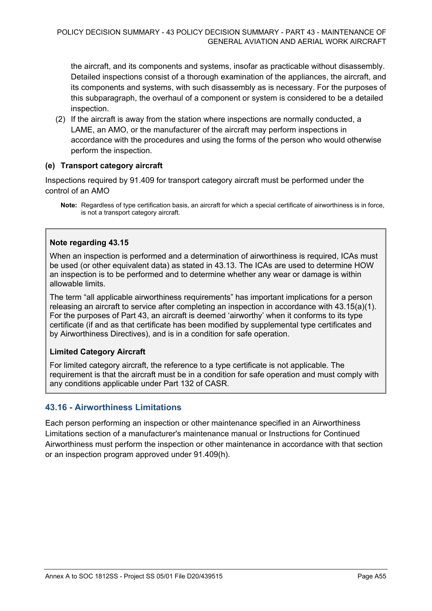the aircraft, and its components and systems, insofar as practicable without disassembly. Detailed inspections consist of a thorough examination of the appliances, the aircraft, and its components and systems, with such disassembly as is necessary. For the purposes of this subparagraph, the overhaul of a component or system is considered to be a detailed inspection.

(2) If the aircraft is away from the station where inspections are normally conducted, a LAME, an AMO, or the manufacturer of the aircraft may perform inspections in accordance with the procedures and using the forms of the person who would otherwise perform the inspection.

#### **(e) Transport category aircraft**

Inspections required by 91.409 for transport category aircraft must be performed under the control of an AMO

**Note:** Regardless of type certification basis, an aircraft for which a special certificate of airworthiness is in force, is not a transport category aircraft.

#### **Note regarding 43.15**

When an inspection is performed and a determination of airworthiness is required, ICAs must be used (or other equivalent data) as stated in 43.13. The ICAs are used to determine HOW an inspection is to be performed and to determine whether any wear or damage is within allowable limits.

The term "all applicable airworthiness requirements" has important implications for a person releasing an aircraft to service after completing an inspection in accordance with 43.15(a)(1). For the purposes of Part 43, an aircraft is deemed 'airworthy' when it conforms to its type certificate (if and as that certificate has been modified by supplemental type certificates and by Airworthiness Directives), and is in a condition for safe operation.

#### **Limited Category Aircraft**

For limited category aircraft, the reference to a type certificate is not applicable. The requirement is that the aircraft must be in a condition for safe operation and must comply with any conditions applicable under Part 132 of CASR.

#### **43.16 - Airworthiness Limitations**

Each person performing an inspection or other maintenance specified in an Airworthiness Limitations section of a manufacturer's maintenance manual or Instructions for Continued Airworthiness must perform the inspection or other maintenance in accordance with that section or an inspection program approved under 91.409(h).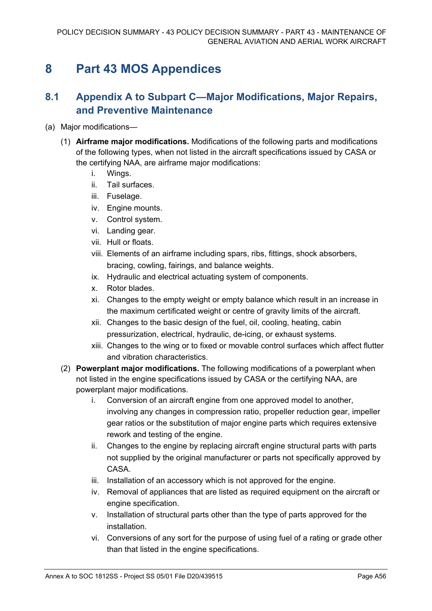## **8 Part 43 MOS Appendices**

## **8.1 Appendix A to Subpart C—Major Modifications, Major Repairs, and Preventive Maintenance**

- (a) Major modifications—
	- (1) **Airframe major modifications.** Modifications of the following parts and modifications of the following types, when not listed in the aircraft specifications issued by CASA or the certifying NAA, are airframe major modifications:
		- i. Wings.
		- ii. Tail surfaces.
		- iii. Fuselage.
		- iv. Engine mounts.
		- v. Control system.
		- vi. Landing gear.
		- vii. Hull or floats.
		- viii. Elements of an airframe including spars, ribs, fittings, shock absorbers, bracing, cowling, fairings, and balance weights.
		- ix. Hydraulic and electrical actuating system of components.
		- x. Rotor blades.
		- xi. Changes to the empty weight or empty balance which result in an increase in the maximum certificated weight or centre of gravity limits of the aircraft.
		- xii. Changes to the basic design of the fuel, oil, cooling, heating, cabin pressurization, electrical, hydraulic, de-icing, or exhaust systems.
		- xiii. Changes to the wing or to fixed or movable control surfaces which affect flutter and vibration characteristics.
	- (2) **Powerplant major modifications.** The following modifications of a powerplant when not listed in the engine specifications issued by CASA or the certifying NAA, are powerplant major modifications.
		- i. Conversion of an aircraft engine from one approved model to another, involving any changes in compression ratio, propeller reduction gear, impeller gear ratios or the substitution of major engine parts which requires extensive rework and testing of the engine.
		- ii. Changes to the engine by replacing aircraft engine structural parts with parts not supplied by the original manufacturer or parts not specifically approved by **CASA**
		- iii. Installation of an accessory which is not approved for the engine.
		- iv. Removal of appliances that are listed as required equipment on the aircraft or engine specification.
		- v. Installation of structural parts other than the type of parts approved for the installation.
		- vi. Conversions of any sort for the purpose of using fuel of a rating or grade other than that listed in the engine specifications.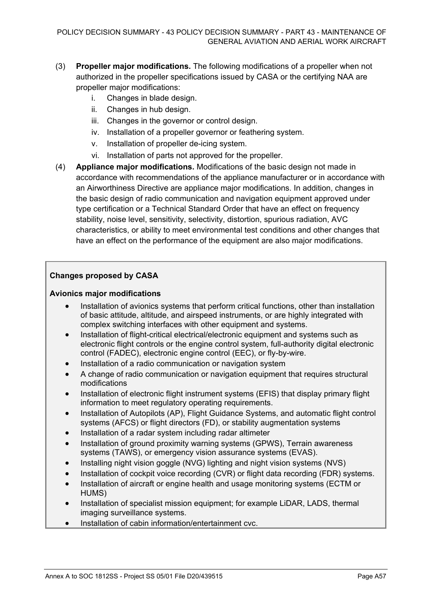- (3) **Propeller major modifications.** The following modifications of a propeller when not authorized in the propeller specifications issued by CASA or the certifying NAA are propeller major modifications:
	- i. Changes in blade design.
	- ii. Changes in hub design.
	- iii. Changes in the governor or control design.
	- iv. Installation of a propeller governor or feathering system.
	- v. Installation of propeller de-icing system.
	- vi. Installation of parts not approved for the propeller.
- (4) **Appliance major modifications.** Modifications of the basic design not made in accordance with recommendations of the appliance manufacturer or in accordance with an Airworthiness Directive are appliance major modifications. In addition, changes in the basic design of radio communication and navigation equipment approved under type certification or a Technical Standard Order that have an effect on frequency stability, noise level, sensitivity, selectivity, distortion, spurious radiation, AVC characteristics, or ability to meet environmental test conditions and other changes that have an effect on the performance of the equipment are also major modifications.

#### **Changes proposed by CASA**

#### **Avionics major modifications**

- Installation of avionics systems that perform critical functions, other than installation of basic attitude, altitude, and airspeed instruments, or are highly integrated with complex switching interfaces with other equipment and systems.
- Installation of flight-critical electrical/electronic equipment and systems such as electronic flight controls or the engine control system, full-authority digital electronic control (FADEC), electronic engine control (EEC), or fly-by-wire.
- Installation of a radio communication or navigation system
- A change of radio communication or navigation equipment that requires structural modifications
- Installation of electronic flight instrument systems (EFIS) that display primary flight information to meet regulatory operating requirements.
- Installation of Autopilots (AP), Flight Guidance Systems, and automatic flight control systems (AFCS) or flight directors (FD), or stability augmentation systems
- Installation of a radar system including radar altimeter
- Installation of ground proximity warning systems (GPWS), Terrain awareness systems (TAWS), or emergency vision assurance systems (EVAS).
- Installing night vision goggle (NVG) lighting and night vision systems (NVS)
- Installation of cockpit voice recording (CVR) or flight data recording (FDR) systems.
- Installation of aircraft or engine health and usage monitoring systems (ECTM or HUMS)
- Installation of specialist mission equipment; for example LiDAR, LADS, thermal imaging surveillance systems.
- Installation of cabin information/entertainment cvc.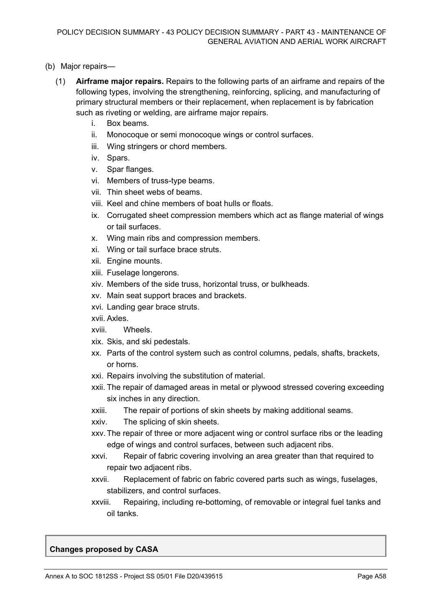- (b) Major repairs—
	- (1) **Airframe major repairs.** Repairs to the following parts of an airframe and repairs of the following types, involving the strengthening, reinforcing, splicing, and manufacturing of primary structural members or their replacement, when replacement is by fabrication such as riveting or welding, are airframe major repairs.
		- i. Box beams.
		- ii. Monocoque or semi monocoque wings or control surfaces.
		- iii. Wing stringers or chord members.
		- iv. Spars.
		- v. Spar flanges.
		- vi. Members of truss-type beams.
		- vii. Thin sheet webs of beams.
		- viii. Keel and chine members of boat hulls or floats.
		- ix. Corrugated sheet compression members which act as flange material of wings or tail surfaces.
		- x. Wing main ribs and compression members.
		- xi. Wing or tail surface brace struts.
		- xii. Engine mounts.
		- xiii. Fuselage longerons.
		- xiv. Members of the side truss, horizontal truss, or bulkheads.
		- xv. Main seat support braces and brackets.
		- xvi. Landing gear brace struts.
		- xvii. Axles.
		- xviii. Wheels.
		- xix. Skis, and ski pedestals.
		- xx. Parts of the control system such as control columns, pedals, shafts, brackets, or horns.
		- xxi. Repairs involving the substitution of material.
		- xxii. The repair of damaged areas in metal or plywood stressed covering exceeding six inches in any direction.
		- xxiii. The repair of portions of skin sheets by making additional seams.
		- xxiv. The splicing of skin sheets.
		- xxv.The repair of three or more adjacent wing or control surface ribs or the leading edge of wings and control surfaces, between such adjacent ribs.
		- xxvi. Repair of fabric covering involving an area greater than that required to repair two adjacent ribs.
		- xxvii. Replacement of fabric on fabric covered parts such as wings, fuselages, stabilizers, and control surfaces.
		- xxviii. Repairing, including re-bottoming, of removable or integral fuel tanks and oil tanks.

#### **Changes proposed by CASA**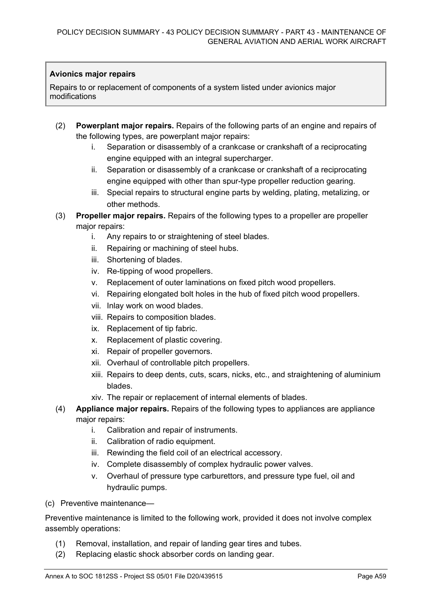#### **Avionics major repairs**

Repairs to or replacement of components of a system listed under avionics major modifications

- (2) **Powerplant major repairs.** Repairs of the following parts of an engine and repairs of the following types, are powerplant major repairs:
	- i. Separation or disassembly of a crankcase or crankshaft of a reciprocating engine equipped with an integral supercharger.
	- ii. Separation or disassembly of a crankcase or crankshaft of a reciprocating engine equipped with other than spur-type propeller reduction gearing.
	- iii. Special repairs to structural engine parts by welding, plating, metalizing, or other methods.
- (3) **Propeller major repairs.** Repairs of the following types to a propeller are propeller major repairs:
	- i. Any repairs to or straightening of steel blades.
	- ii. Repairing or machining of steel hubs.
	- iii. Shortening of blades.
	- iv. Re-tipping of wood propellers.
	- v. Replacement of outer laminations on fixed pitch wood propellers.
	- vi. Repairing elongated bolt holes in the hub of fixed pitch wood propellers.
	- vii. Inlay work on wood blades.
	- viii. Repairs to composition blades.
	- ix. Replacement of tip fabric.
	- x. Replacement of plastic covering.
	- xi. Repair of propeller governors.
	- xii. Overhaul of controllable pitch propellers.
	- xiii. Repairs to deep dents, cuts, scars, nicks, etc., and straightening of aluminium blades.
	- xiv. The repair or replacement of internal elements of blades.
- (4) **Appliance major repairs.** Repairs of the following types to appliances are appliance major repairs:
	- i. Calibration and repair of instruments.
	- ii. Calibration of radio equipment.
	- iii. Rewinding the field coil of an electrical accessory.
	- iv. Complete disassembly of complex hydraulic power valves.
	- v. Overhaul of pressure type carburettors, and pressure type fuel, oil and hydraulic pumps.
- (c) Preventive maintenance—

Preventive maintenance is limited to the following work, provided it does not involve complex assembly operations:

- (1) Removal, installation, and repair of landing gear tires and tubes.
- (2) Replacing elastic shock absorber cords on landing gear.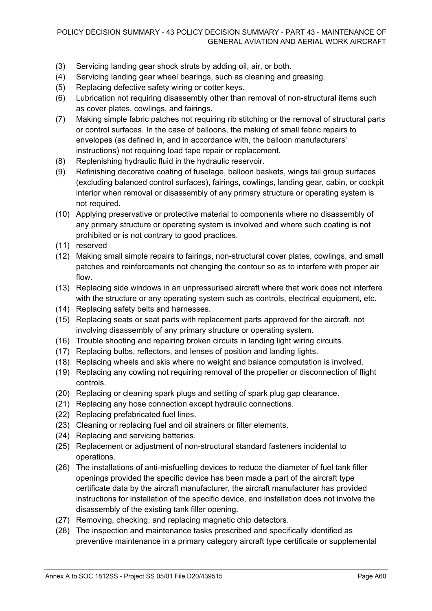- (3) Servicing landing gear shock struts by adding oil, air, or both.
- (4) Servicing landing gear wheel bearings, such as cleaning and greasing.
- (5) Replacing defective safety wiring or cotter keys.
- (6) Lubrication not requiring disassembly other than removal of non-structural items such as cover plates, cowlings, and fairings.
- (7) Making simple fabric patches not requiring rib stitching or the removal of structural parts or control surfaces. In the case of balloons, the making of small fabric repairs to envelopes (as defined in, and in accordance with, the balloon manufacturers' instructions) not requiring load tape repair or replacement.
- (8) Replenishing hydraulic fluid in the hydraulic reservoir.
- (9) Refinishing decorative coating of fuselage, balloon baskets, wings tail group surfaces (excluding balanced control surfaces), fairings, cowlings, landing gear, cabin, or cockpit interior when removal or disassembly of any primary structure or operating system is not required.
- (10) Applying preservative or protective material to components where no disassembly of any primary structure or operating system is involved and where such coating is not prohibited or is not contrary to good practices.
- (11) reserved
- (12) Making small simple repairs to fairings, non-structural cover plates, cowlings, and small patches and reinforcements not changing the contour so as to interfere with proper air flow.
- (13) Replacing side windows in an unpressurised aircraft where that work does not interfere with the structure or any operating system such as controls, electrical equipment, etc.
- (14) Replacing safety belts and harnesses.
- (15) Replacing seats or seat parts with replacement parts approved for the aircraft, not involving disassembly of any primary structure or operating system.
- (16) Trouble shooting and repairing broken circuits in landing light wiring circuits.
- (17) Replacing bulbs, reflectors, and lenses of position and landing lights.
- (18) Replacing wheels and skis where no weight and balance computation is involved.
- (19) Replacing any cowling not requiring removal of the propeller or disconnection of flight controls.
- (20) Replacing or cleaning spark plugs and setting of spark plug gap clearance.
- (21) Replacing any hose connection except hydraulic connections.
- (22) Replacing prefabricated fuel lines.
- (23) Cleaning or replacing fuel and oil strainers or filter elements.
- (24) Replacing and servicing batteries.
- (25) Replacement or adjustment of non-structural standard fasteners incidental to operations.
- (26) The installations of anti-misfuelling devices to reduce the diameter of fuel tank filler openings provided the specific device has been made a part of the aircraft type certificate data by the aircraft manufacturer, the aircraft manufacturer has provided instructions for installation of the specific device, and installation does not involve the disassembly of the existing tank filler opening.
- (27) Removing, checking, and replacing magnetic chip detectors.
- (28) The inspection and maintenance tasks prescribed and specifically identified as preventive maintenance in a primary category aircraft type certificate or supplemental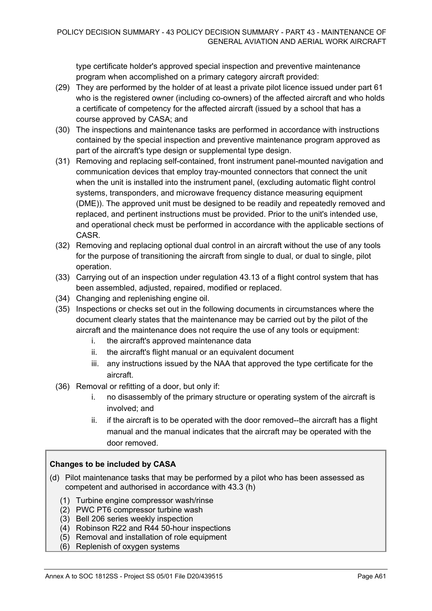type certificate holder's approved special inspection and preventive maintenance program when accomplished on a primary category aircraft provided:

- (29) They are performed by the holder of at least a private pilot licence issued under part 61 who is the registered owner (including co-owners) of the affected aircraft and who holds a certificate of competency for the affected aircraft (issued by a school that has a course approved by CASA; and
- (30) The inspections and maintenance tasks are performed in accordance with instructions contained by the special inspection and preventive maintenance program approved as part of the aircraft's type design or supplemental type design.
- (31) Removing and replacing self-contained, front instrument panel-mounted navigation and communication devices that employ tray-mounted connectors that connect the unit when the unit is installed into the instrument panel, (excluding automatic flight control systems, transponders, and microwave frequency distance measuring equipment (DME)). The approved unit must be designed to be readily and repeatedly removed and replaced, and pertinent instructions must be provided. Prior to the unit's intended use, and operational check must be performed in accordance with the applicable sections of CASR.
- (32) Removing and replacing optional dual control in an aircraft without the use of any tools for the purpose of transitioning the aircraft from single to dual, or dual to single, pilot operation.
- (33) Carrying out of an inspection under regulation 43.13 of a flight control system that has been assembled, adjusted, repaired, modified or replaced.
- (34) Changing and replenishing engine oil.
- (35) Inspections or checks set out in the following documents in circumstances where the document clearly states that the maintenance may be carried out by the pilot of the aircraft and the maintenance does not require the use of any tools or equipment:
	- i. the aircraft's approved maintenance data
	- ii. the aircraft's flight manual or an equivalent document
	- iii. any instructions issued by the NAA that approved the type certificate for the aircraft.
- (36) Removal or refitting of a door, but only if:
	- no disassembly of the primary structure or operating system of the aircraft is involved; and
	- ii. if the aircraft is to be operated with the door removed--the aircraft has a flight manual and the manual indicates that the aircraft may be operated with the door removed.

#### **Changes to be included by CASA**

- (d) Pilot maintenance tasks that may be performed by a pilot who has been assessed as competent and authorised in accordance with 43.3 (h)
	- (1) Turbine engine compressor wash/rinse
	- (2) PWC PT6 compressor turbine wash
	- (3) Bell 206 series weekly inspection
	- (4) Robinson R22 and R44 50-hour inspections
	- (5) Removal and installation of role equipment
	- (6) Replenish of oxygen systems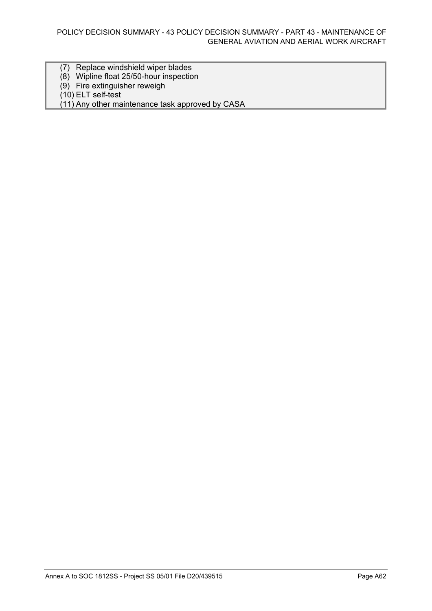- (7) Replace windshield wiper blades
- (8) Wipline float 25/50-hour inspection
- (9) Fire extinguisher reweigh

(10) ELT self-test

(11) Any other maintenance task approved by CASA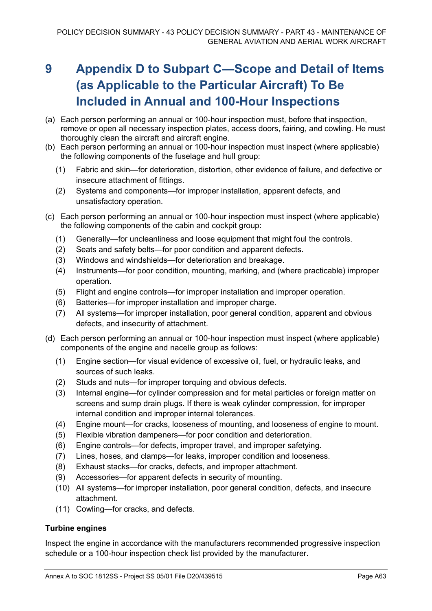## **9 Appendix D to Subpart C—Scope and Detail of Items (as Applicable to the Particular Aircraft) To Be Included in Annual and 100-Hour Inspections**

- (a) Each person performing an annual or 100-hour inspection must, before that inspection, remove or open all necessary inspection plates, access doors, fairing, and cowling. He must thoroughly clean the aircraft and aircraft engine.
- (b) Each person performing an annual or 100-hour inspection must inspect (where applicable) the following components of the fuselage and hull group:
	- (1) Fabric and skin—for deterioration, distortion, other evidence of failure, and defective or insecure attachment of fittings.
	- (2) Systems and components—for improper installation, apparent defects, and unsatisfactory operation.
- (c) Each person performing an annual or 100-hour inspection must inspect (where applicable) the following components of the cabin and cockpit group:
	- (1) Generally—for uncleanliness and loose equipment that might foul the controls.
	- (2) Seats and safety belts—for poor condition and apparent defects.
	- (3) Windows and windshields—for deterioration and breakage.
	- (4) Instruments—for poor condition, mounting, marking, and (where practicable) improper operation.
	- (5) Flight and engine controls—for improper installation and improper operation.
	- (6) Batteries—for improper installation and improper charge.
	- (7) All systems—for improper installation, poor general condition, apparent and obvious defects, and insecurity of attachment.
- (d) Each person performing an annual or 100-hour inspection must inspect (where applicable) components of the engine and nacelle group as follows:
	- (1) Engine section—for visual evidence of excessive oil, fuel, or hydraulic leaks, and sources of such leaks.
	- (2) Studs and nuts—for improper torquing and obvious defects.
	- (3) Internal engine—for cylinder compression and for metal particles or foreign matter on screens and sump drain plugs. If there is weak cylinder compression, for improper internal condition and improper internal tolerances.
	- (4) Engine mount—for cracks, looseness of mounting, and looseness of engine to mount.
	- (5) Flexible vibration dampeners—for poor condition and deterioration.
	- (6) Engine controls—for defects, improper travel, and improper safetying.
	- (7) Lines, hoses, and clamps—for leaks, improper condition and looseness.
	- (8) Exhaust stacks—for cracks, defects, and improper attachment.
	- (9) Accessories—for apparent defects in security of mounting.
	- (10) All systems—for improper installation, poor general condition, defects, and insecure attachment.
	- (11) Cowling—for cracks, and defects.

#### **Turbine engines**

Inspect the engine in accordance with the manufacturers recommended progressive inspection schedule or a 100-hour inspection check list provided by the manufacturer.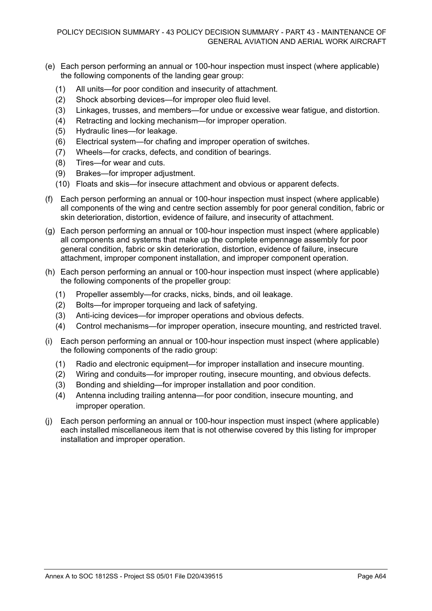- (e) Each person performing an annual or 100-hour inspection must inspect (where applicable) the following components of the landing gear group:
	- (1) All units—for poor condition and insecurity of attachment.
	- (2) Shock absorbing devices—for improper oleo fluid level.
	- (3) Linkages, trusses, and members—for undue or excessive wear fatigue, and distortion.
	- (4) Retracting and locking mechanism—for improper operation.
	- (5) Hydraulic lines—for leakage.
	- (6) Electrical system—for chafing and improper operation of switches.
	- (7) Wheels—for cracks, defects, and condition of bearings.
	- (8) Tires—for wear and cuts.
	- (9) Brakes—for improper adjustment.
	- (10) Floats and skis—for insecure attachment and obvious or apparent defects.
- (f) Each person performing an annual or 100-hour inspection must inspect (where applicable) all components of the wing and centre section assembly for poor general condition, fabric or skin deterioration, distortion, evidence of failure, and insecurity of attachment.
- (g) Each person performing an annual or 100-hour inspection must inspect (where applicable) all components and systems that make up the complete empennage assembly for poor general condition, fabric or skin deterioration, distortion, evidence of failure, insecure attachment, improper component installation, and improper component operation.
- (h) Each person performing an annual or 100-hour inspection must inspect (where applicable) the following components of the propeller group:
	- (1) Propeller assembly—for cracks, nicks, binds, and oil leakage.
	- (2) Bolts—for improper torqueing and lack of safetying.
	- (3) Anti-icing devices—for improper operations and obvious defects.
	- (4) Control mechanisms—for improper operation, insecure mounting, and restricted travel.
- (i) Each person performing an annual or 100-hour inspection must inspect (where applicable) the following components of the radio group:
	- (1) Radio and electronic equipment—for improper installation and insecure mounting.
	- (2) Wiring and conduits—for improper routing, insecure mounting, and obvious defects.
	- (3) Bonding and shielding—for improper installation and poor condition.
	- (4) Antenna including trailing antenna—for poor condition, insecure mounting, and improper operation.
- (j) Each person performing an annual or 100-hour inspection must inspect (where applicable) each installed miscellaneous item that is not otherwise covered by this listing for improper installation and improper operation.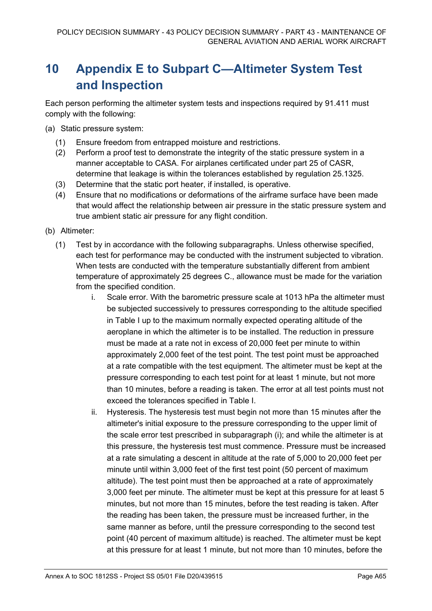## **10 Appendix E to Subpart C—Altimeter System Test and Inspection**

Each person performing the altimeter system tests and inspections required by 91.411 must comply with the following:

(a) Static pressure system:

- (1) Ensure freedom from entrapped moisture and restrictions.
- (2) Perform a proof test to demonstrate the integrity of the static pressure system in a manner acceptable to CASA. For airplanes certificated under part 25 of CASR, determine that leakage is within the tolerances established by regulation 25.1325.
- (3) Determine that the static port heater, if installed, is operative.
- (4) Ensure that no modifications or deformations of the airframe surface have been made that would affect the relationship between air pressure in the static pressure system and true ambient static air pressure for any flight condition.
- (b) Altimeter:
	- (1) Test by in accordance with the following subparagraphs. Unless otherwise specified, each test for performance may be conducted with the instrument subjected to vibration. When tests are conducted with the temperature substantially different from ambient temperature of approximately 25 degrees C., allowance must be made for the variation from the specified condition.
		- i. Scale error. With the barometric pressure scale at 1013 hPa the altimeter must be subjected successively to pressures corresponding to the altitude specified in Table I up to the maximum normally expected operating altitude of the aeroplane in which the altimeter is to be installed. The reduction in pressure must be made at a rate not in excess of 20,000 feet per minute to within approximately 2,000 feet of the test point. The test point must be approached at a rate compatible with the test equipment. The altimeter must be kept at the pressure corresponding to each test point for at least 1 minute, but not more than 10 minutes, before a reading is taken. The error at all test points must not exceed the tolerances specified in Table I.
		- ii. Hysteresis. The hysteresis test must begin not more than 15 minutes after the altimeter's initial exposure to the pressure corresponding to the upper limit of the scale error test prescribed in subparagraph (i); and while the altimeter is at this pressure, the hysteresis test must commence. Pressure must be increased at a rate simulating a descent in altitude at the rate of 5,000 to 20,000 feet per minute until within 3,000 feet of the first test point (50 percent of maximum altitude). The test point must then be approached at a rate of approximately 3,000 feet per minute. The altimeter must be kept at this pressure for at least 5 minutes, but not more than 15 minutes, before the test reading is taken. After the reading has been taken, the pressure must be increased further, in the same manner as before, until the pressure corresponding to the second test point (40 percent of maximum altitude) is reached. The altimeter must be kept at this pressure for at least 1 minute, but not more than 10 minutes, before the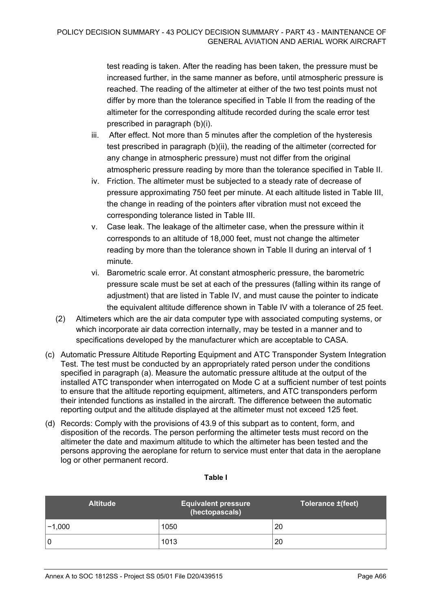test reading is taken. After the reading has been taken, the pressure must be increased further, in the same manner as before, until atmospheric pressure is reached. The reading of the altimeter at either of the two test points must not differ by more than the tolerance specified in Table II from the reading of the altimeter for the corresponding altitude recorded during the scale error test prescribed in paragraph (b)(i).

- iii. After effect. Not more than 5 minutes after the completion of the hysteresis test prescribed in paragraph (b)(ii), the reading of the altimeter (corrected for any change in atmospheric pressure) must not differ from the original atmospheric pressure reading by more than the tolerance specified in Table II.
- iv. Friction. The altimeter must be subjected to a steady rate of decrease of pressure approximating 750 feet per minute. At each altitude listed in Table III, the change in reading of the pointers after vibration must not exceed the corresponding tolerance listed in Table III.
- v. Case leak. The leakage of the altimeter case, when the pressure within it corresponds to an altitude of 18,000 feet, must not change the altimeter reading by more than the tolerance shown in Table II during an interval of 1 minute.
- vi. Barometric scale error. At constant atmospheric pressure, the barometric pressure scale must be set at each of the pressures (falling within its range of adjustment) that are listed in Table IV, and must cause the pointer to indicate the equivalent altitude difference shown in Table IV with a tolerance of 25 feet.
- (2) Altimeters which are the air data computer type with associated computing systems, or which incorporate air data correction internally, may be tested in a manner and to specifications developed by the manufacturer which are acceptable to CASA.
- (c) Automatic Pressure Altitude Reporting Equipment and ATC Transponder System Integration Test. The test must be conducted by an appropriately rated person under the conditions specified in paragraph (a). Measure the automatic pressure altitude at the output of the installed ATC transponder when interrogated on Mode C at a sufficient number of test points to ensure that the altitude reporting equipment, altimeters, and ATC transponders perform their intended functions as installed in the aircraft. The difference between the automatic reporting output and the altitude displayed at the altimeter must not exceed 125 feet.
- (d) Records: Comply with the provisions of 43.9 of this subpart as to content, form, and disposition of the records. The person performing the altimeter tests must record on the altimeter the date and maximum altitude to which the altimeter has been tested and the persons approving the aeroplane for return to service must enter that data in the aeroplane log or other permanent record.

| <b>Altitude</b> | <b>Equivalent pressure</b><br>(hectopascals) | Tolerance ±(feet) |
|-----------------|----------------------------------------------|-------------------|
| $-1,000$        | 1050                                         | 20                |
| 0               | 1013                                         | 20                |

#### **Table I**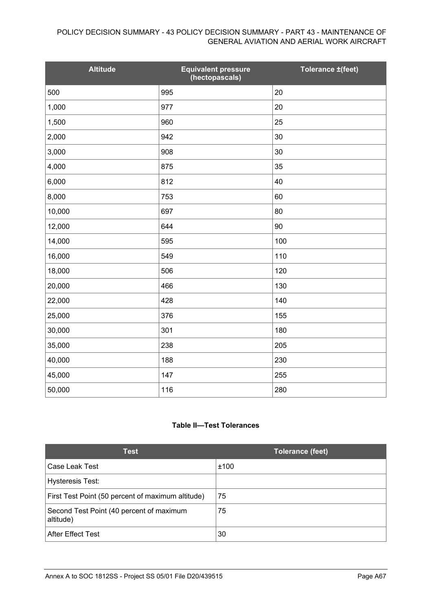#### POLICY DECISION SUMMARY - 43 POLICY DECISION SUMMARY - PART 43 - MAINTENANCE OF GENERAL AVIATION AND AERIAL WORK AIRCRAFT

| <b>Altitude</b> | Equivalent pressure<br>(hectopascals) | Tolerance ±(feet) |
|-----------------|---------------------------------------|-------------------|
| 500             | 995                                   | 20                |
| 1,000           | 977                                   | 20                |
| 1,500           | 960                                   | 25                |
| 2,000           | 942                                   | 30                |
| 3,000           | 908                                   | 30                |
| 4,000           | 875                                   | 35                |
| 6,000           | 812                                   | 40                |
| 8,000           | 753                                   | 60                |
| 10,000          | 697                                   | 80                |
| 12,000          | 644                                   | 90                |
| 14,000          | 595                                   | 100               |
| 16,000          | 549                                   | 110               |
| 18,000          | 506                                   | 120               |
| 20,000          | 466                                   | 130               |
| 22,000          | 428                                   | 140               |
| 25,000          | 376                                   | 155               |
| 30,000          | 301                                   | 180               |
| 35,000          | 238                                   | 205               |
| 40,000          | 188                                   | 230               |
| 45,000          | 147                                   | 255               |
| 50,000          | 116                                   | 280               |

#### **Table II—Test Tolerances**

| <b>Test</b>                                           | <b>Tolerance (feet)</b> |
|-------------------------------------------------------|-------------------------|
| Case Leak Test                                        | ±100                    |
| <b>Hysteresis Test:</b>                               |                         |
| First Test Point (50 percent of maximum altitude)     | 75                      |
| Second Test Point (40 percent of maximum<br>altitude) | 75                      |
| <b>After Effect Test</b>                              | 30                      |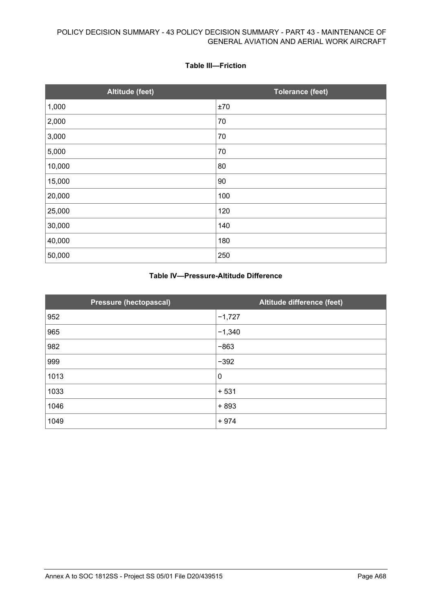#### **Table III—Friction**

| <b>Altitude (feet)</b> | <b>Tolerance (feet)</b> |
|------------------------|-------------------------|
| 1,000                  | ±70                     |
| 2,000                  | 70                      |
| 3,000                  | 70                      |
| 5,000                  | 70                      |
| 10,000                 | 80                      |
| 15,000                 | 90                      |
| 20,000                 | 100                     |
| 25,000                 | 120                     |
| 30,000                 | 140                     |
| 40,000                 | 180                     |
| 50,000                 | 250                     |

#### **Table IV—Pressure-Altitude Difference**

| <b>Pressure (hectopascal)</b> | Altitude difference (feet) |
|-------------------------------|----------------------------|
| 952                           | $-1,727$                   |
| 965                           | $-1,340$                   |
| 982                           | $-863$                     |
| 999                           | $-392$                     |
| 1013                          | $\mathbf 0$                |
| 1033                          | $+531$                     |
| 1046                          | $+893$                     |
| 1049                          | $+974$                     |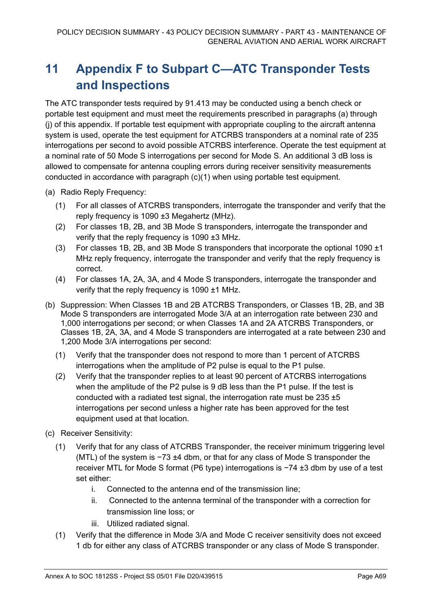## **11 Appendix F to Subpart C—ATC Transponder Tests and Inspections**

The ATC transponder tests required by 91.413 may be conducted using a bench check or portable test equipment and must meet the requirements prescribed in paragraphs (a) through (j) of this appendix. If portable test equipment with appropriate coupling to the aircraft antenna system is used, operate the test equipment for ATCRBS transponders at a nominal rate of 235 interrogations per second to avoid possible ATCRBS interference. Operate the test equipment at a nominal rate of 50 Mode S interrogations per second for Mode S. An additional 3 dB loss is allowed to compensate for antenna coupling errors during receiver sensitivity measurements conducted in accordance with paragraph (c)(1) when using portable test equipment.

- (a) Radio Reply Frequency:
	- (1) For all classes of ATCRBS transponders, interrogate the transponder and verify that the reply frequency is 1090 ±3 Megahertz (MHz).
	- (2) For classes 1B, 2B, and 3B Mode S transponders, interrogate the transponder and verify that the reply frequency is 1090 ±3 MHz.
	- (3) For classes 1B, 2B, and 3B Mode S transponders that incorporate the optional 1090 ±1 MHz reply frequency, interrogate the transponder and verify that the reply frequency is correct.
	- (4) For classes 1A, 2A, 3A, and 4 Mode S transponders, interrogate the transponder and verify that the reply frequency is 1090 ±1 MHz.
- (b) Suppression: When Classes 1B and 2B ATCRBS Transponders, or Classes 1B, 2B, and 3B Mode S transponders are interrogated Mode 3/A at an interrogation rate between 230 and 1,000 interrogations per second; or when Classes 1A and 2A ATCRBS Transponders, or Classes 1B, 2A, 3A, and 4 Mode S transponders are interrogated at a rate between 230 and 1,200 Mode 3/A interrogations per second:
	- (1) Verify that the transponder does not respond to more than 1 percent of ATCRBS interrogations when the amplitude of P2 pulse is equal to the P1 pulse.
	- (2) Verify that the transponder replies to at least 90 percent of ATCRBS interrogations when the amplitude of the P2 pulse is 9 dB less than the P1 pulse. If the test is conducted with a radiated test signal, the interrogation rate must be  $235 \pm 5$ interrogations per second unless a higher rate has been approved for the test equipment used at that location.
- (c) Receiver Sensitivity:
	- (1) Verify that for any class of ATCRBS Transponder, the receiver minimum triggering level (MTL) of the system is −73 ±4 dbm, or that for any class of Mode S transponder the receiver MTL for Mode S format (P6 type) interrogations is −74 ±3 dbm by use of a test set either:
		- i. Connected to the antenna end of the transmission line;
		- ii. Connected to the antenna terminal of the transponder with a correction for transmission line loss; or
		- iii. Utilized radiated signal.
	- (1) Verify that the difference in Mode 3/A and Mode C receiver sensitivity does not exceed 1 db for either any class of ATCRBS transponder or any class of Mode S transponder.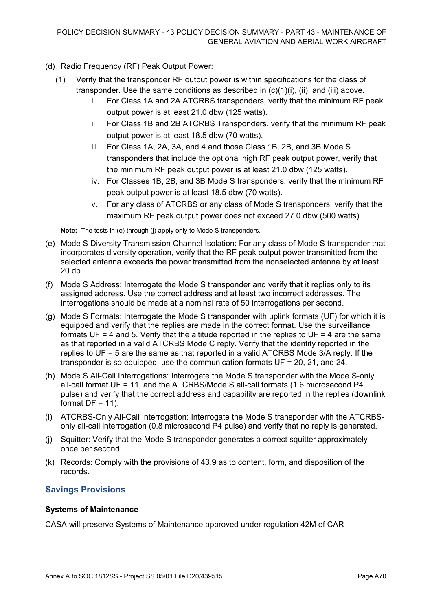- (d) Radio Frequency (RF) Peak Output Power:
	- (1) Verify that the transponder RF output power is within specifications for the class of transponder. Use the same conditions as described in  $(c)(1)(i)$ ,  $(ii)$ , and  $(iii)$  above.
		- i. For Class 1A and 2A ATCRBS transponders, verify that the minimum RF peak output power is at least 21.0 dbw (125 watts).
		- ii. For Class 1B and 2B ATCRBS Transponders, verify that the minimum RF peak output power is at least 18.5 dbw (70 watts).
		- iii. For Class 1A, 2A, 3A, and 4 and those Class 1B, 2B, and 3B Mode S transponders that include the optional high RF peak output power, verify that the minimum RF peak output power is at least 21.0 dbw (125 watts).
		- iv. For Classes 1B, 2B, and 3B Mode S transponders, verify that the minimum RF peak output power is at least 18.5 dbw (70 watts).
		- v. For any class of ATCRBS or any class of Mode S transponders, verify that the maximum RF peak output power does not exceed 27.0 dbw (500 watts).

**Note:** The tests in (e) through (j) apply only to Mode S transponders.

- (e) Mode S Diversity Transmission Channel Isolation: For any class of Mode S transponder that incorporates diversity operation, verify that the RF peak output power transmitted from the selected antenna exceeds the power transmitted from the nonselected antenna by at least 20 db.
- (f) Mode S Address: Interrogate the Mode S transponder and verify that it replies only to its assigned address. Use the correct address and at least two incorrect addresses. The interrogations should be made at a nominal rate of 50 interrogations per second.
- (g) Mode S Formats: Interrogate the Mode S transponder with uplink formats (UF) for which it is equipped and verify that the replies are made in the correct format. Use the surveillance formats UF = 4 and 5. Verify that the altitude reported in the replies to UF = 4 are the same as that reported in a valid ATCRBS Mode C reply. Verify that the identity reported in the replies to UF = 5 are the same as that reported in a valid ATCRBS Mode 3/A reply. If the transponder is so equipped, use the communication formats UF = 20, 21, and 24.
- (h) Mode S All-Call Interrogations: Interrogate the Mode S transponder with the Mode S-only all-call format UF = 11, and the ATCRBS/Mode S all-call formats (1.6 microsecond P4 pulse) and verify that the correct address and capability are reported in the replies (downlink format  $DF = 11$ ).
- (i) ATCRBS-Only All-Call Interrogation: Interrogate the Mode S transponder with the ATCRBSonly all-call interrogation (0.8 microsecond P4 pulse) and verify that no reply is generated.
- (j) Squitter: Verify that the Mode S transponder generates a correct squitter approximately once per second.
- (k) Records: Comply with the provisions of 43.9 as to content, form, and disposition of the records.

## **Savings Provisions**

#### **Systems of Maintenance**

CASA will preserve Systems of Maintenance approved under regulation 42M of CAR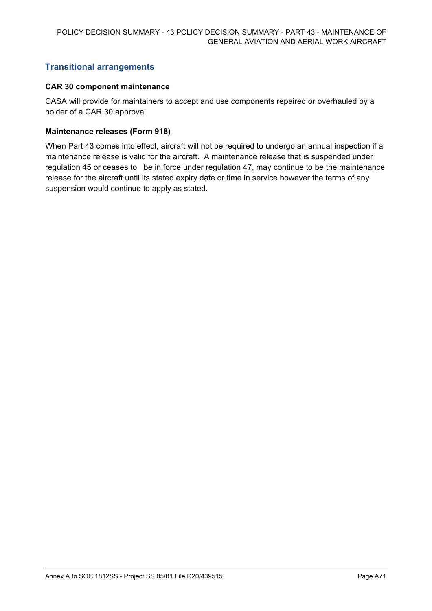## **Transitional arrangements**

#### **CAR 30 component maintenance**

CASA will provide for maintainers to accept and use components repaired or overhauled by a holder of a CAR 30 approval

#### **Maintenance releases (Form 918)**

When Part 43 comes into effect, aircraft will not be required to undergo an annual inspection if a maintenance release is valid for the aircraft. A maintenance release that is suspended under regulation 45 or ceases to be in force under regulation 47, may continue to be the maintenance release for the aircraft until its stated expiry date or time in service however the terms of any suspension would continue to apply as stated.